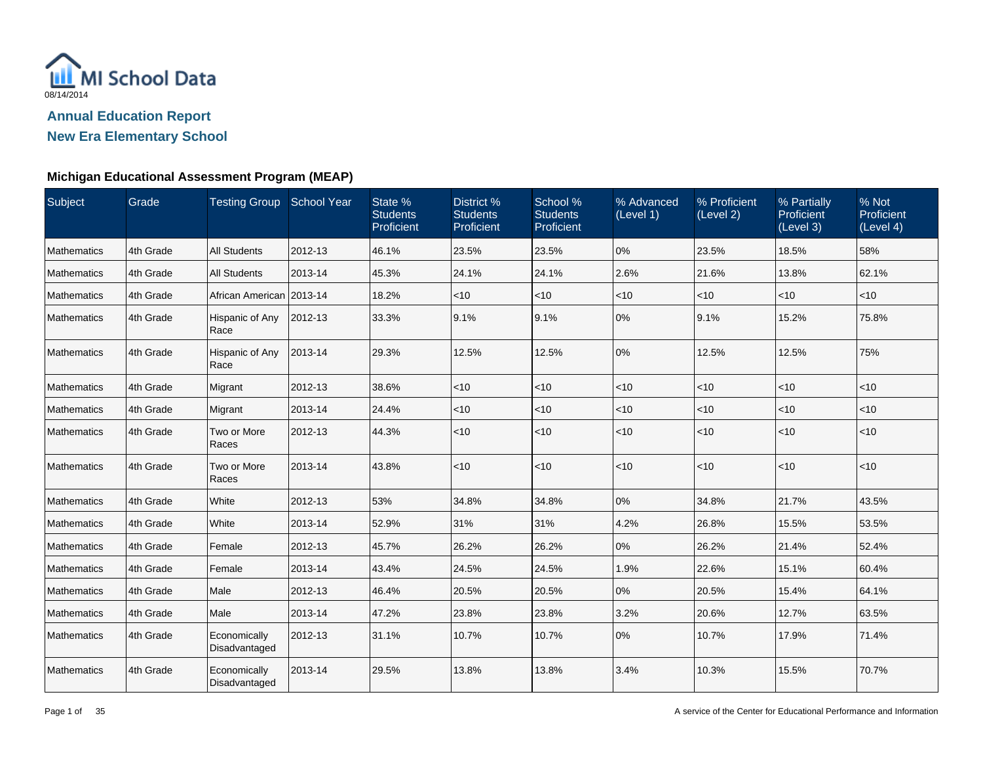

**New Era Elementary School**

| Subject            | Grade     | Testing Group School Year     |         | State %<br><b>Students</b><br>Proficient | District %<br><b>Students</b><br>Proficient | School %<br><b>Students</b><br>Proficient | % Advanced<br>(Level 1) | % Proficient<br>(Level 2) | % Partially<br>Proficient<br>(Level 3) | % Not<br>Proficient<br>(Level 4) |
|--------------------|-----------|-------------------------------|---------|------------------------------------------|---------------------------------------------|-------------------------------------------|-------------------------|---------------------------|----------------------------------------|----------------------------------|
| <b>Mathematics</b> | 4th Grade | <b>All Students</b>           | 2012-13 | 46.1%                                    | 23.5%                                       | 23.5%                                     | 0%                      | 23.5%                     | 18.5%                                  | 58%                              |
| Mathematics        | 4th Grade | <b>All Students</b>           | 2013-14 | 45.3%                                    | 24.1%                                       | 24.1%                                     | 2.6%                    | 21.6%                     | 13.8%                                  | 62.1%                            |
| Mathematics        | 4th Grade | African American 2013-14      |         | 18.2%                                    | <10                                         | $<$ 10                                    | $<$ 10                  | $<$ 10                    | $ $ < 10                               | $ $ < 10                         |
| Mathematics        | 4th Grade | Hispanic of Any<br>Race       | 2012-13 | 33.3%                                    | 9.1%                                        | 9.1%                                      | 0%                      | 9.1%                      | 15.2%                                  | 75.8%                            |
| Mathematics        | 4th Grade | Hispanic of Any<br>Race       | 2013-14 | 29.3%                                    | 12.5%                                       | 12.5%                                     | 0%                      | 12.5%                     | 12.5%                                  | 75%                              |
| Mathematics        | 4th Grade | Migrant                       | 2012-13 | 38.6%                                    | $<$ 10                                      | $<$ 10                                    | $<$ 10                  | $<$ 10                    | $<$ 10                                 | $ $ < 10                         |
| Mathematics        | 4th Grade | Migrant                       | 2013-14 | 24.4%                                    | $ $ < 10                                    | < 10                                      | $<$ 10                  | <10                       | $<$ 10                                 | $ $ < 10                         |
| <b>Mathematics</b> | 4th Grade | Two or More<br>Races          | 2012-13 | 44.3%                                    | $ $ < 10                                    | <10                                       | < 10                    | $<$ 10                    | $ $ < 10                               | $ $ < 10                         |
| Mathematics        | 4th Grade | Two or More<br>Races          | 2013-14 | 43.8%                                    | $ $ < 10                                    | < 10                                      | < 10                    | $<$ 10                    | $ $ < 10                               | $ $ < 10                         |
| Mathematics        | 4th Grade | White                         | 2012-13 | 53%                                      | 34.8%                                       | 34.8%                                     | $0\%$                   | 34.8%                     | 21.7%                                  | 43.5%                            |
| Mathematics        | 4th Grade | White                         | 2013-14 | 52.9%                                    | 31%                                         | 31%                                       | 4.2%                    | 26.8%                     | 15.5%                                  | 53.5%                            |
| Mathematics        | 4th Grade | Female                        | 2012-13 | 45.7%                                    | 26.2%                                       | 26.2%                                     | 0%                      | 26.2%                     | 21.4%                                  | 52.4%                            |
| Mathematics        | 4th Grade | Female                        | 2013-14 | 43.4%                                    | 24.5%                                       | 24.5%                                     | 1.9%                    | 22.6%                     | 15.1%                                  | 60.4%                            |
| Mathematics        | 4th Grade | Male                          | 2012-13 | 46.4%                                    | 20.5%                                       | 20.5%                                     | 0%                      | 20.5%                     | 15.4%                                  | 64.1%                            |
| Mathematics        | 4th Grade | Male                          | 2013-14 | 47.2%                                    | 23.8%                                       | 23.8%                                     | 3.2%                    | 20.6%                     | 12.7%                                  | 63.5%                            |
| Mathematics        | 4th Grade | Economically<br>Disadvantaged | 2012-13 | 31.1%                                    | 10.7%                                       | 10.7%                                     | 0%                      | 10.7%                     | 17.9%                                  | 71.4%                            |
| Mathematics        | 4th Grade | Economically<br>Disadvantaged | 2013-14 | 29.5%                                    | 13.8%                                       | 13.8%                                     | 3.4%                    | 10.3%                     | 15.5%                                  | 70.7%                            |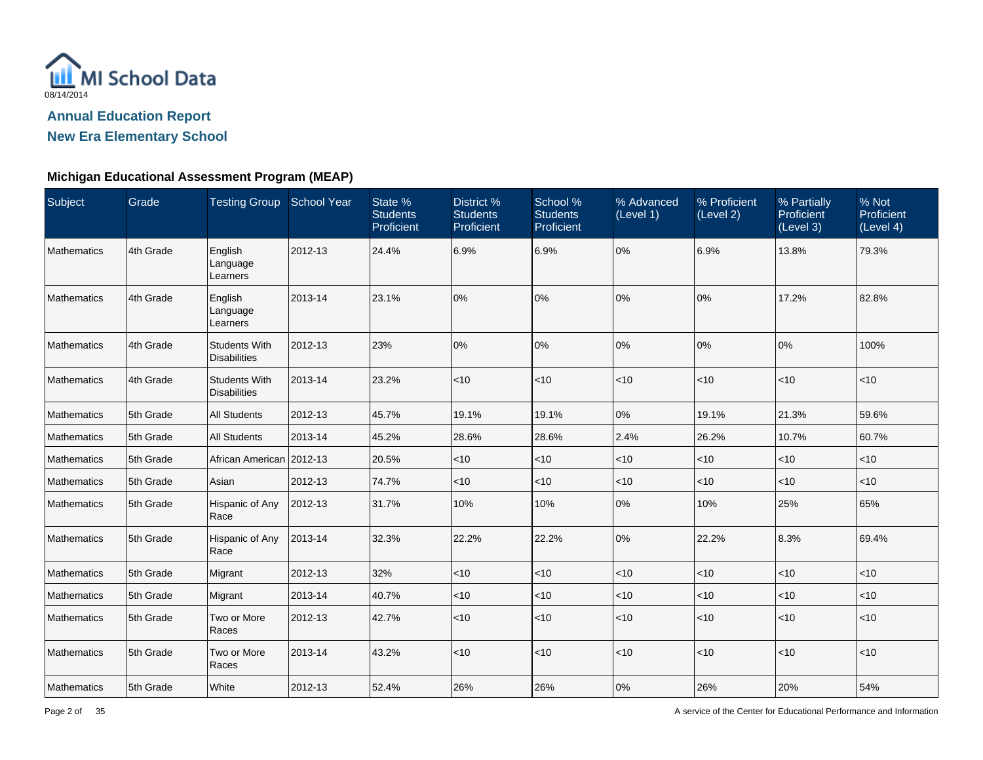

**New Era Elementary School**

| Subject            | Grade     | Testing Group School Year                   |         | State %<br><b>Students</b><br>Proficient | District %<br><b>Students</b><br>Proficient | School %<br><b>Students</b><br>Proficient | % Advanced<br>(Level 1) | % Proficient<br>(Level 2) | % Partially<br>Proficient<br>(Level 3) | % Not<br>Proficient<br>(Level 4) |
|--------------------|-----------|---------------------------------------------|---------|------------------------------------------|---------------------------------------------|-------------------------------------------|-------------------------|---------------------------|----------------------------------------|----------------------------------|
| <b>Mathematics</b> | 4th Grade | English<br>Language<br>Learners             | 2012-13 | 24.4%                                    | 6.9%                                        | 6.9%                                      | 0%                      | 6.9%                      | 13.8%                                  | 79.3%                            |
| Mathematics        | 4th Grade | English<br>Language<br>Learners             | 2013-14 | 23.1%                                    | 0%                                          | 0%                                        | 0%                      | 0%                        | 17.2%                                  | 82.8%                            |
| Mathematics        | 4th Grade | <b>Students With</b><br><b>Disabilities</b> | 2012-13 | 23%                                      | 0%                                          | 0%                                        | 0%                      | 0%                        | 0%                                     | 100%                             |
| <b>Mathematics</b> | 4th Grade | <b>Students With</b><br><b>Disabilities</b> | 2013-14 | 23.2%                                    | $<$ 10                                      | $<$ 10                                    | < 10                    | $<$ 10                    | < 10                                   | $ $ < 10                         |
| <b>Mathematics</b> | 5th Grade | <b>All Students</b>                         | 2012-13 | 45.7%                                    | 19.1%                                       | 19.1%                                     | 0%                      | 19.1%                     | 21.3%                                  | 59.6%                            |
| <b>Mathematics</b> | 5th Grade | <b>All Students</b>                         | 2013-14 | 45.2%                                    | 28.6%                                       | 28.6%                                     | 2.4%                    | 26.2%                     | 10.7%                                  | 60.7%                            |
| <b>Mathematics</b> | 5th Grade | African American 2012-13                    |         | 20.5%                                    | $<$ 10                                      | $<$ 10                                    | $<$ 10                  | $<$ 10                    | $<$ 10                                 | $ $ < 10                         |
| <b>Mathematics</b> | 5th Grade | Asian                                       | 2012-13 | 74.7%                                    | <10                                         | $<$ 10                                    | $<$ 10                  | $<$ 10                    | $<$ 10                                 | $ $ < 10                         |
| <b>Mathematics</b> | 5th Grade | Hispanic of Any<br>Race                     | 2012-13 | 31.7%                                    | 10%                                         | 10%                                       | 0%                      | 10%                       | 25%                                    | 65%                              |
| Mathematics        | 5th Grade | Hispanic of Any<br>Race                     | 2013-14 | 32.3%                                    | 22.2%                                       | 22.2%                                     | 0%                      | 22.2%                     | 8.3%                                   | 69.4%                            |
| <b>Mathematics</b> | 5th Grade | Migrant                                     | 2012-13 | 32%                                      | $<$ 10                                      | $<$ 10                                    | $<$ 10                  | $<$ 10                    | $<$ 10                                 | $ $ < 10                         |
| <b>Mathematics</b> | 5th Grade | Migrant                                     | 2013-14 | 40.7%                                    | $<$ 10                                      | $<$ 10                                    | $<$ 10                  | <10                       | $<$ 10                                 | $ $ < 10                         |
| <b>Mathematics</b> | 5th Grade | Two or More<br>Races                        | 2012-13 | 42.7%                                    | $<$ 10                                      | <10                                       | < 10                    | <10                       | < 10                                   | $ $ < 10                         |
| <b>Mathematics</b> | 5th Grade | Two or More<br>Races                        | 2013-14 | 43.2%                                    | < 10                                        | $<$ 10                                    | < 10                    | < 10                      | < 10                                   | $ $ < 10                         |
| Mathematics        | 5th Grade | White                                       | 2012-13 | 52.4%                                    | 26%                                         | 26%                                       | 0%                      | 26%                       | 20%                                    | 54%                              |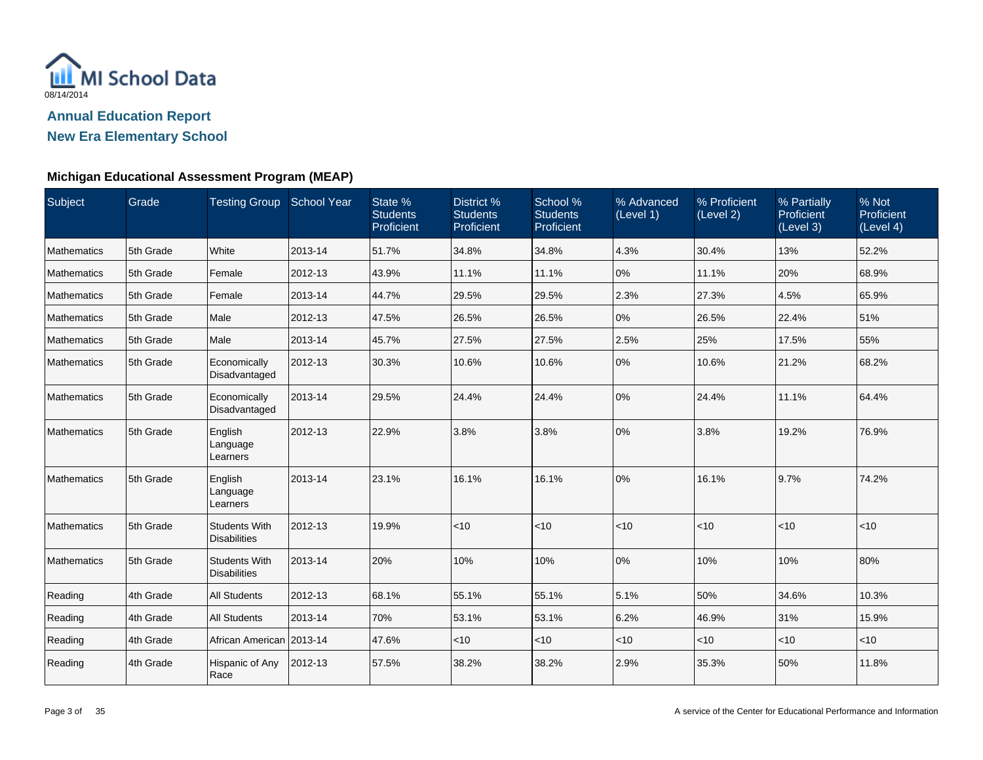

**New Era Elementary School**

| Subject            | Grade     | Testing Group School Year                   |         | State %<br><b>Students</b><br>Proficient | District %<br><b>Students</b><br>Proficient | School %<br><b>Students</b><br>Proficient | % Advanced<br>(Level 1) | % Proficient<br>(Level 2) | % Partially<br>Proficient<br>(Level 3) | % Not<br>Proficient<br>(Level 4) |
|--------------------|-----------|---------------------------------------------|---------|------------------------------------------|---------------------------------------------|-------------------------------------------|-------------------------|---------------------------|----------------------------------------|----------------------------------|
| Mathematics        | 5th Grade | White                                       | 2013-14 | 51.7%                                    | 34.8%                                       | 34.8%                                     | 4.3%                    | 30.4%                     | 13%                                    | 52.2%                            |
| Mathematics        | 5th Grade | Female                                      | 2012-13 | 43.9%                                    | 11.1%                                       | 11.1%                                     | 0%                      | 11.1%                     | 20%                                    | 68.9%                            |
| Mathematics        | 5th Grade | Female                                      | 2013-14 | 44.7%                                    | 29.5%                                       | 29.5%                                     | 2.3%                    | 27.3%                     | 4.5%                                   | 65.9%                            |
| <b>Mathematics</b> | 5th Grade | Male                                        | 2012-13 | 47.5%                                    | 26.5%                                       | 26.5%                                     | 0%                      | 26.5%                     | 22.4%                                  | 51%                              |
| Mathematics        | 5th Grade | Male                                        | 2013-14 | 45.7%                                    | 27.5%                                       | 27.5%                                     | 2.5%                    | 25%                       | 17.5%                                  | 55%                              |
| Mathematics        | 5th Grade | Economically<br>Disadvantaged               | 2012-13 | 30.3%                                    | 10.6%                                       | 10.6%                                     | 0%                      | 10.6%                     | 21.2%                                  | 68.2%                            |
| Mathematics        | 5th Grade | Economically<br>Disadvantaged               | 2013-14 | 29.5%                                    | 24.4%                                       | 24.4%                                     | 0%                      | 24.4%                     | 11.1%                                  | 64.4%                            |
| Mathematics        | 5th Grade | English<br>Language<br>Learners             | 2012-13 | 22.9%                                    | 3.8%                                        | 3.8%                                      | 0%                      | 3.8%                      | 19.2%                                  | 76.9%                            |
| Mathematics        | 5th Grade | English<br>Language<br>Learners             | 2013-14 | 23.1%                                    | 16.1%                                       | 16.1%                                     | 0%                      | 16.1%                     | 9.7%                                   | 74.2%                            |
| Mathematics        | 5th Grade | <b>Students With</b><br><b>Disabilities</b> | 2012-13 | 19.9%                                    | <10                                         | < 10                                      | <10                     | < 10                      | $<$ 10                                 | $ $ < 10                         |
| Mathematics        | 5th Grade | <b>Students With</b><br><b>Disabilities</b> | 2013-14 | 20%                                      | 10%                                         | 10%                                       | 0%                      | 10%                       | 10%                                    | 80%                              |
| Reading            | 4th Grade | <b>All Students</b>                         | 2012-13 | 68.1%                                    | 55.1%                                       | 55.1%                                     | 5.1%                    | 50%                       | 34.6%                                  | 10.3%                            |
| Reading            | 4th Grade | <b>All Students</b>                         | 2013-14 | 70%                                      | 53.1%                                       | 53.1%                                     | 6.2%                    | 46.9%                     | 31%                                    | 15.9%                            |
| Reading            | 4th Grade | African American   2013-14                  |         | 47.6%                                    | $ $ < 10                                    | < 10                                      | $<$ 10                  | $<$ 10                    | $<$ 10                                 | $<$ 10                           |
| Reading            | 4th Grade | Hispanic of Any<br>Race                     | 2012-13 | 57.5%                                    | 38.2%                                       | 38.2%                                     | 2.9%                    | 35.3%                     | 50%                                    | 11.8%                            |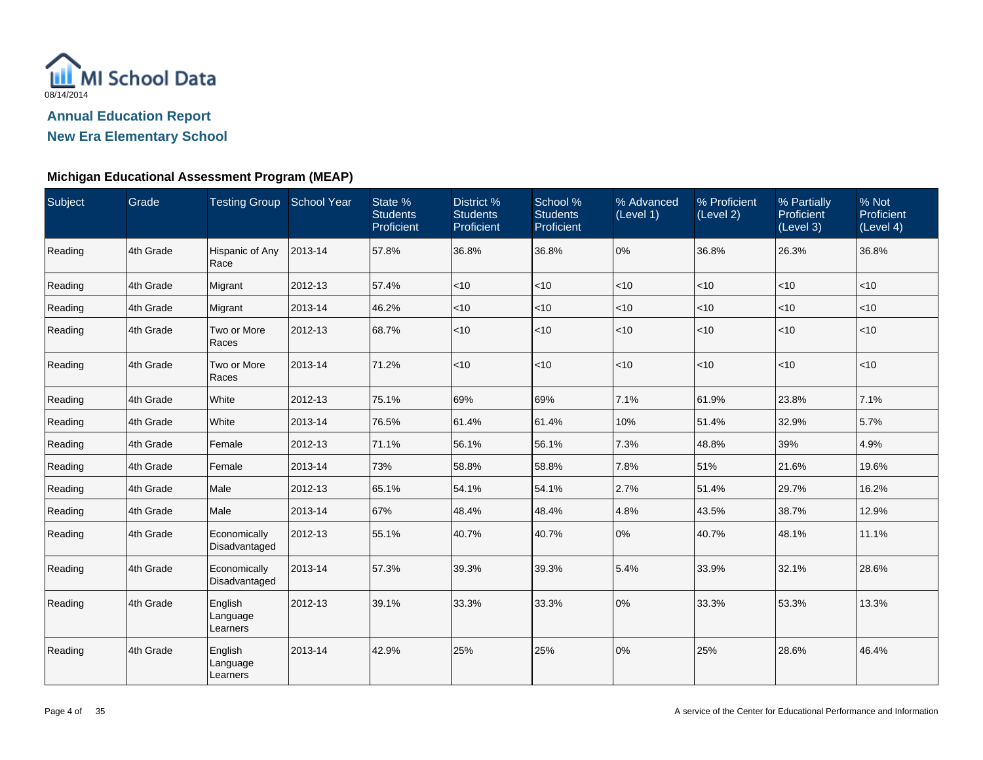

**New Era Elementary School**

| Subject | Grade     | Testing Group School Year       |         | State %<br><b>Students</b><br>Proficient | District %<br><b>Students</b><br>Proficient | School %<br><b>Students</b><br>Proficient | % Advanced<br>(Level 1) | % Proficient<br>(Level 2) | % Partially<br>Proficient<br>(Level 3) | % Not<br>Proficient<br>(Level 4) |
|---------|-----------|---------------------------------|---------|------------------------------------------|---------------------------------------------|-------------------------------------------|-------------------------|---------------------------|----------------------------------------|----------------------------------|
| Reading | 4th Grade | Hispanic of Any<br>Race         | 2013-14 | 57.8%                                    | 36.8%                                       | 36.8%                                     | 0%                      | 36.8%                     | 26.3%                                  | 36.8%                            |
| Reading | 4th Grade | Migrant                         | 2012-13 | 57.4%                                    | $<$ 10                                      | $<$ 10                                    | $<$ 10                  | $<$ 10                    | $ $ < 10                               | $ $ < 10                         |
| Reading | 4th Grade | Migrant                         | 2013-14 | 46.2%                                    | $<$ 10                                      | $<$ 10                                    | $<$ 10                  | <10                       | $<$ 10                                 | $ $ < 10                         |
| Reading | 4th Grade | Two or More<br>Races            | 2012-13 | 68.7%                                    | < 10                                        | $<$ 10                                    | $<$ 10                  | <10                       | $ $ < 10                               | $ $ < 10                         |
| Reading | 4th Grade | Two or More<br>Races            | 2013-14 | 71.2%                                    | < 10                                        | < 10                                      | $ $ < 10                | < 10                      | < 10                                   | $ $ < 10                         |
| Reading | 4th Grade | White                           | 2012-13 | 75.1%                                    | 69%                                         | 69%                                       | 7.1%                    | 61.9%                     | 23.8%                                  | 7.1%                             |
| Reading | 4th Grade | White                           | 2013-14 | 76.5%                                    | 61.4%                                       | 61.4%                                     | 10%                     | 51.4%                     | 32.9%                                  | 5.7%                             |
| Reading | 4th Grade | Female                          | 2012-13 | 71.1%                                    | 56.1%                                       | 56.1%                                     | 7.3%                    | 48.8%                     | 39%                                    | 4.9%                             |
| Reading | 4th Grade | Female                          | 2013-14 | 73%                                      | 58.8%                                       | 58.8%                                     | 7.8%                    | 51%                       | 21.6%                                  | 19.6%                            |
| Reading | 4th Grade | Male                            | 2012-13 | 65.1%                                    | 54.1%                                       | 54.1%                                     | 2.7%                    | 51.4%                     | 29.7%                                  | 16.2%                            |
| Reading | 4th Grade | Male                            | 2013-14 | 67%                                      | 48.4%                                       | 48.4%                                     | 4.8%                    | 43.5%                     | 38.7%                                  | 12.9%                            |
| Reading | 4th Grade | Economically<br>Disadvantaged   | 2012-13 | 55.1%                                    | 40.7%                                       | 40.7%                                     | 0%                      | 40.7%                     | 48.1%                                  | 11.1%                            |
| Reading | 4th Grade | Economically<br>Disadvantaged   | 2013-14 | 57.3%                                    | 39.3%                                       | 39.3%                                     | 5.4%                    | 33.9%                     | 32.1%                                  | 28.6%                            |
| Reading | 4th Grade | English<br>Language<br>Learners | 2012-13 | 39.1%                                    | 33.3%                                       | 33.3%                                     | 0%                      | 33.3%                     | 53.3%                                  | 13.3%                            |
| Reading | 4th Grade | English<br>Language<br>Learners | 2013-14 | 42.9%                                    | 25%                                         | 25%                                       | 0%                      | 25%                       | 28.6%                                  | 46.4%                            |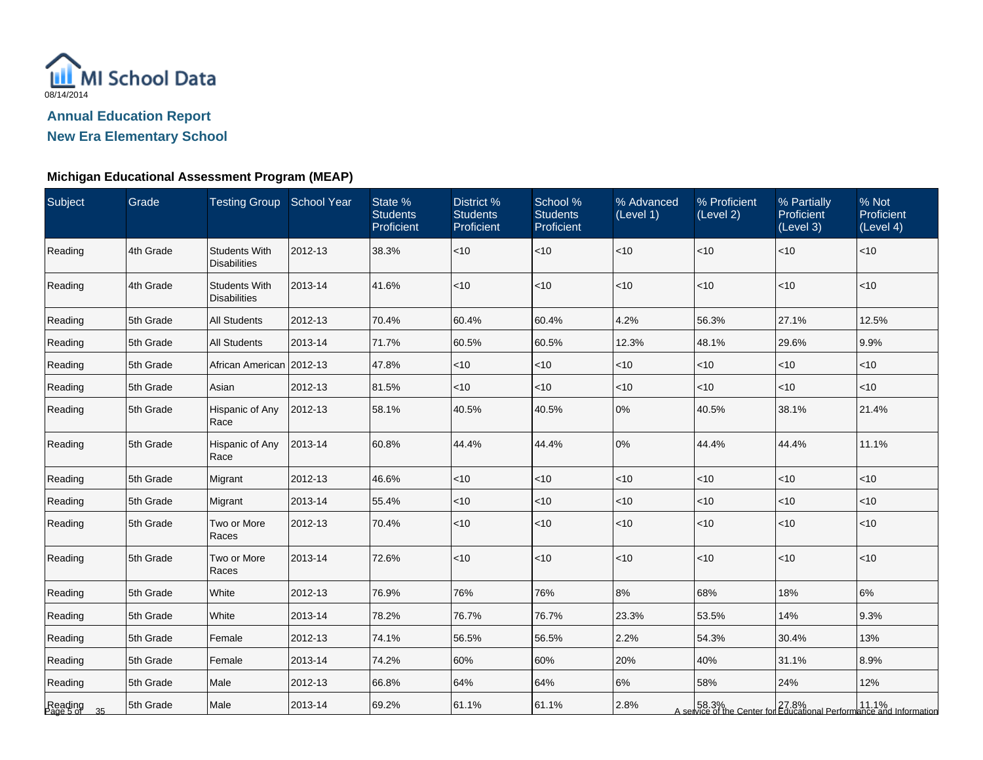

**New Era Elementary School**

| Subject                    | Grade     | Testing Group School Year                   |         | State %<br><b>Students</b><br>Proficient | District %<br><b>Students</b><br>Proficient | School %<br><b>Students</b><br>Proficient | % Advanced<br>(Level 1) | % Proficient<br>(Level 2) | % Partially<br><b>Proficient</b><br>(Level 3) | % Not<br>Proficient<br>(Level 4)                                                                     |
|----------------------------|-----------|---------------------------------------------|---------|------------------------------------------|---------------------------------------------|-------------------------------------------|-------------------------|---------------------------|-----------------------------------------------|------------------------------------------------------------------------------------------------------|
| Reading                    | 4th Grade | <b>Students With</b><br><b>Disabilities</b> | 2012-13 | 38.3%                                    | < 10                                        | $<$ 10                                    | $ $ < 10                | < 10                      | $<$ 10                                        | < 10                                                                                                 |
| Reading                    | 4th Grade | <b>Students With</b><br><b>Disabilities</b> | 2013-14 | 41.6%                                    | < 10                                        | $<10$                                     | <10                     | < 10                      | < 10                                          | < 10                                                                                                 |
| Reading                    | 5th Grade | <b>All Students</b>                         | 2012-13 | 70.4%                                    | 60.4%                                       | 60.4%                                     | 4.2%                    | 56.3%                     | 27.1%                                         | 12.5%                                                                                                |
| Reading                    | 5th Grade | <b>All Students</b>                         | 2013-14 | 71.7%                                    | 60.5%                                       | 60.5%                                     | 12.3%                   | 48.1%                     | 29.6%                                         | 9.9%                                                                                                 |
| Reading                    | 5th Grade | African American 2012-13                    |         | 47.8%                                    | $ $ < 10                                    | $<$ 10                                    | $ $ < 10                | < 10                      | $<$ 10                                        | $<$ 10                                                                                               |
| Reading                    | 5th Grade | Asian                                       | 2012-13 | 81.5%                                    | $<$ 10                                      | ~10                                       | $<$ 10                  | $<$ 10                    | < 10                                          | <10                                                                                                  |
| Reading                    | 5th Grade | Hispanic of Any<br>Race                     | 2012-13 | 58.1%                                    | 40.5%                                       | 40.5%                                     | 0%                      | 40.5%                     | 38.1%                                         | 21.4%                                                                                                |
| Reading                    | 5th Grade | Hispanic of Any<br>Race                     | 2013-14 | 60.8%                                    | 44.4%                                       | 44.4%                                     | 0%                      | 44.4%                     | 44.4%                                         | 11.1%                                                                                                |
| Reading                    | 5th Grade | Migrant                                     | 2012-13 | 46.6%                                    | < 10                                        | $<10$                                     | $<$ 10                  | <10                       | < 10                                          | <10                                                                                                  |
| Reading                    | 5th Grade | Migrant                                     | 2013-14 | 55.4%                                    | < 10                                        | ~10                                       | $ $ < 10                | <10                       | $<$ 10                                        | < 10                                                                                                 |
| Reading                    | 5th Grade | Two or More<br>Races                        | 2012-13 | 70.4%                                    | < 10                                        | $<$ 10                                    | $<$ 10                  | $<$ 10                    | $<$ 10                                        | < 10                                                                                                 |
| Reading                    | 5th Grade | Two or More<br>Races                        | 2013-14 | 72.6%                                    | $ $ < 10                                    | $<$ 10                                    | $ $ < 10                | < 10                      | $<$ 10                                        | $<$ 10                                                                                               |
| Reading                    | 5th Grade | White                                       | 2012-13 | 76.9%                                    | 76%                                         | 76%                                       | 8%                      | 68%                       | 18%                                           | 6%                                                                                                   |
| Reading                    | 5th Grade | White                                       | 2013-14 | 78.2%                                    | 76.7%                                       | 76.7%                                     | 23.3%                   | 53.5%                     | 14%                                           | 9.3%                                                                                                 |
| Reading                    | 5th Grade | Female                                      | 2012-13 | 74.1%                                    | 56.5%                                       | 56.5%                                     | 2.2%                    | 54.3%                     | 30.4%                                         | 13%                                                                                                  |
| Reading                    | 5th Grade | Female                                      | 2013-14 | 74.2%                                    | 60%                                         | 60%                                       | 20%                     | 40%                       | 31.1%                                         | 8.9%                                                                                                 |
| Reading                    | 5th Grade | Male                                        | 2012-13 | 66.8%                                    | 64%                                         | 64%                                       | 6%                      | 58%                       | 24%                                           | 12%                                                                                                  |
| Reading<br>Page 5 of<br>35 | 5th Grade | Male                                        | 2013-14 | 69.2%                                    | 61.1%                                       | 61.1%                                     | 2.8%                    |                           |                                               | 11.1% 58.3% 27.8% 27.8% 11.1%<br>A service of the Center for Educational Performance and Information |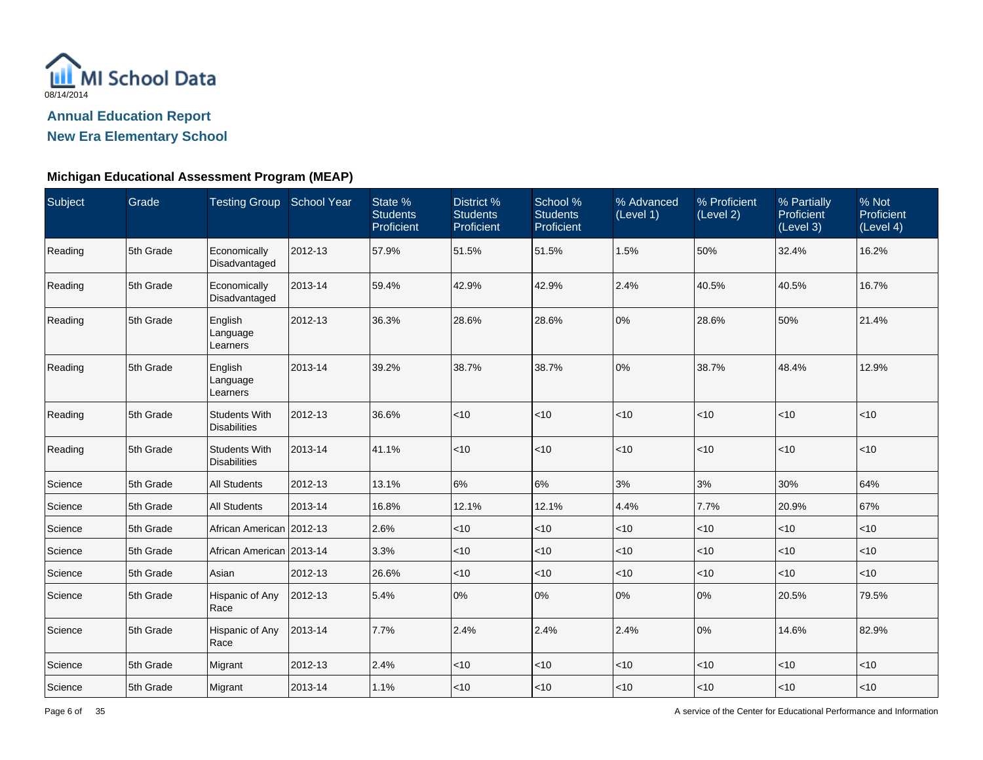

**New Era Elementary School**

| Subject | Grade     | Testing Group School Year                   |         | State %<br><b>Students</b><br>Proficient | District %<br><b>Students</b><br>Proficient | School %<br><b>Students</b><br>Proficient | % Advanced<br>(Level 1) | % Proficient<br>(Level 2) | % Partially<br>Proficient<br>(Level 3) | % Not<br>Proficient<br>(Level 4) |
|---------|-----------|---------------------------------------------|---------|------------------------------------------|---------------------------------------------|-------------------------------------------|-------------------------|---------------------------|----------------------------------------|----------------------------------|
| Reading | 5th Grade | Economically<br>Disadvantaged               | 2012-13 | 57.9%                                    | 51.5%                                       | 51.5%                                     | 1.5%                    | 50%                       | 32.4%                                  | 16.2%                            |
| Reading | 5th Grade | Economically<br>Disadvantaged               | 2013-14 | 59.4%                                    | 42.9%                                       | 42.9%                                     | 2.4%                    | 40.5%                     | 40.5%                                  | 16.7%                            |
| Reading | 5th Grade | English<br>Language<br>Learners             | 2012-13 | 36.3%                                    | 28.6%                                       | 28.6%                                     | 0%                      | 28.6%                     | 50%                                    | 21.4%                            |
| Reading | 5th Grade | English<br>Language<br>Learners             | 2013-14 | 39.2%                                    | 38.7%                                       | 38.7%                                     | 0%                      | 38.7%                     | 48.4%                                  | 12.9%                            |
| Reading | 5th Grade | <b>Students With</b><br><b>Disabilities</b> | 2012-13 | 36.6%                                    | <10                                         | < 10                                      | $<$ 10                  | <10                       | <10                                    | < 10                             |
| Reading | 5th Grade | <b>Students With</b><br><b>Disabilities</b> | 2013-14 | 41.1%                                    | <10                                         | < 10                                      | $<$ 10                  | $<$ 10                    | $<10$                                  | < 10                             |
| Science | 5th Grade | <b>All Students</b>                         | 2012-13 | 13.1%                                    | 6%                                          | 6%                                        | 3%                      | 3%                        | 30%                                    | 64%                              |
| Science | 5th Grade | <b>All Students</b>                         | 2013-14 | 16.8%                                    | 12.1%                                       | 12.1%                                     | 4.4%                    | 7.7%                      | 20.9%                                  | 67%                              |
| Science | 5th Grade | African American 2012-13                    |         | 2.6%                                     | <10                                         | $<$ 10                                    | $<$ 10                  | < 10                      | $<$ 10                                 | < 10                             |
| Science | 5th Grade | African American 2013-14                    |         | 3.3%                                     | $<$ 10                                      | $<$ 10                                    | $<$ 10                  | < 10                      | $<10$                                  | <10                              |
| Science | 5th Grade | Asian                                       | 2012-13 | 26.6%                                    | $<$ 10                                      | $<$ 10                                    | $<$ 10                  | $<$ 10                    | $<$ 10                                 | $<$ 10                           |
| Science | 5th Grade | Hispanic of Any<br>Race                     | 2012-13 | 5.4%                                     | 0%                                          | 0%                                        | 0%                      | $0\%$                     | 20.5%                                  | 79.5%                            |
| Science | 5th Grade | Hispanic of Any<br>Race                     | 2013-14 | 7.7%                                     | 2.4%                                        | 2.4%                                      | 2.4%                    | $0\%$                     | 14.6%                                  | 82.9%                            |
| Science | 5th Grade | Migrant                                     | 2012-13 | 2.4%                                     | $<$ 10                                      | ~10                                       | $<$ 10                  | $<$ 10                    | ~10                                    | $<10$                            |
| Science | 5th Grade | Migrant                                     | 2013-14 | 1.1%                                     | $<$ 10                                      | ~10                                       | $<$ 10                  | $<$ 10                    | < 10                                   | < 10                             |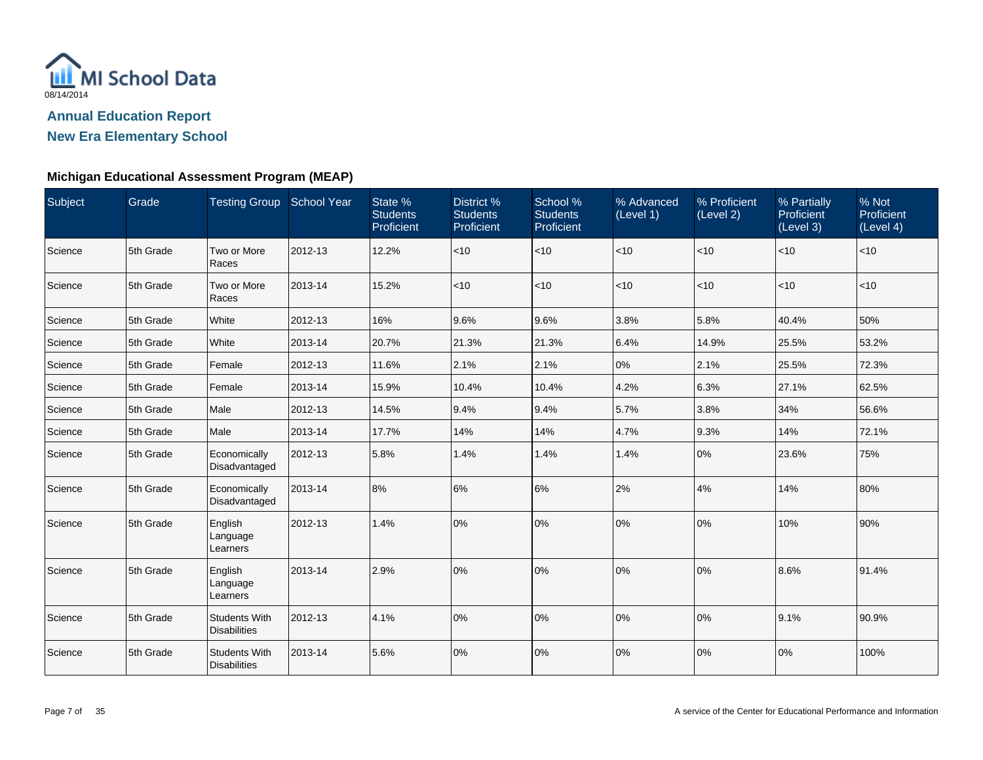

**New Era Elementary School**

| Subject | Grade     | Testing Group School Year                   |         | State %<br><b>Students</b><br>Proficient | District %<br><b>Students</b><br>Proficient | School %<br><b>Students</b><br>Proficient | % Advanced<br>(Level 1) | % Proficient<br>(Level 2) | % Partially<br>Proficient<br>(Level 3) | % Not<br>Proficient<br>(Level 4) |
|---------|-----------|---------------------------------------------|---------|------------------------------------------|---------------------------------------------|-------------------------------------------|-------------------------|---------------------------|----------------------------------------|----------------------------------|
| Science | 5th Grade | Two or More<br>Races                        | 2012-13 | 12.2%                                    | $ $ < 10                                    | $<$ 10                                    | $<$ 10                  | $<$ 10                    | $<$ 10                                 | < 10                             |
| Science | 5th Grade | Two or More<br>Races                        | 2013-14 | 15.2%                                    | <10                                         | < 10                                      | $<$ 10                  | $<$ 10                    | $ $ < 10                               | $<$ 10                           |
| Science | 5th Grade | White                                       | 2012-13 | 16%                                      | 9.6%                                        | 9.6%                                      | 3.8%                    | 5.8%                      | 40.4%                                  | 50%                              |
| Science | 5th Grade | White                                       | 2013-14 | 20.7%                                    | 21.3%                                       | 21.3%                                     | 6.4%                    | 14.9%                     | 25.5%                                  | 53.2%                            |
| Science | 5th Grade | Female                                      | 2012-13 | 11.6%                                    | 2.1%                                        | 2.1%                                      | 0%                      | 2.1%                      | 25.5%                                  | 72.3%                            |
| Science | 5th Grade | Female                                      | 2013-14 | 15.9%                                    | 10.4%                                       | 10.4%                                     | 4.2%                    | 6.3%                      | 27.1%                                  | 62.5%                            |
| Science | 5th Grade | Male                                        | 2012-13 | 14.5%                                    | 9.4%                                        | 9.4%                                      | 5.7%                    | 3.8%                      | 34%                                    | 56.6%                            |
| Science | 5th Grade | Male                                        | 2013-14 | 17.7%                                    | 14%                                         | 14%                                       | 4.7%                    | 9.3%                      | 14%                                    | 72.1%                            |
| Science | 5th Grade | Economically<br>Disadvantaged               | 2012-13 | 5.8%                                     | 1.4%                                        | 1.4%                                      | 1.4%                    | 10%                       | 23.6%                                  | 75%                              |
| Science | 5th Grade | Economically<br>Disadvantaged               | 2013-14 | 8%                                       | 6%                                          | 6%                                        | 2%                      | 4%                        | 14%                                    | 80%                              |
| Science | 5th Grade | English<br>Language<br>Learners             | 2012-13 | 1.4%                                     | 0%                                          | 0%                                        | 0%                      | 10%                       | 10%                                    | 90%                              |
| Science | 5th Grade | English<br>Language<br>Learners             | 2013-14 | 2.9%                                     | 0%                                          | 0%                                        | 0%                      | 10%                       | 8.6%                                   | 91.4%                            |
| Science | 5th Grade | <b>Students With</b><br><b>Disabilities</b> | 2012-13 | 4.1%                                     | 0%                                          | 0%                                        | 0%                      | 0%                        | 9.1%                                   | 90.9%                            |
| Science | 5th Grade | <b>Students With</b><br><b>Disabilities</b> | 2013-14 | 5.6%                                     | 0%                                          | 0%                                        | 0%                      | 0%                        | 0%                                     | 100%                             |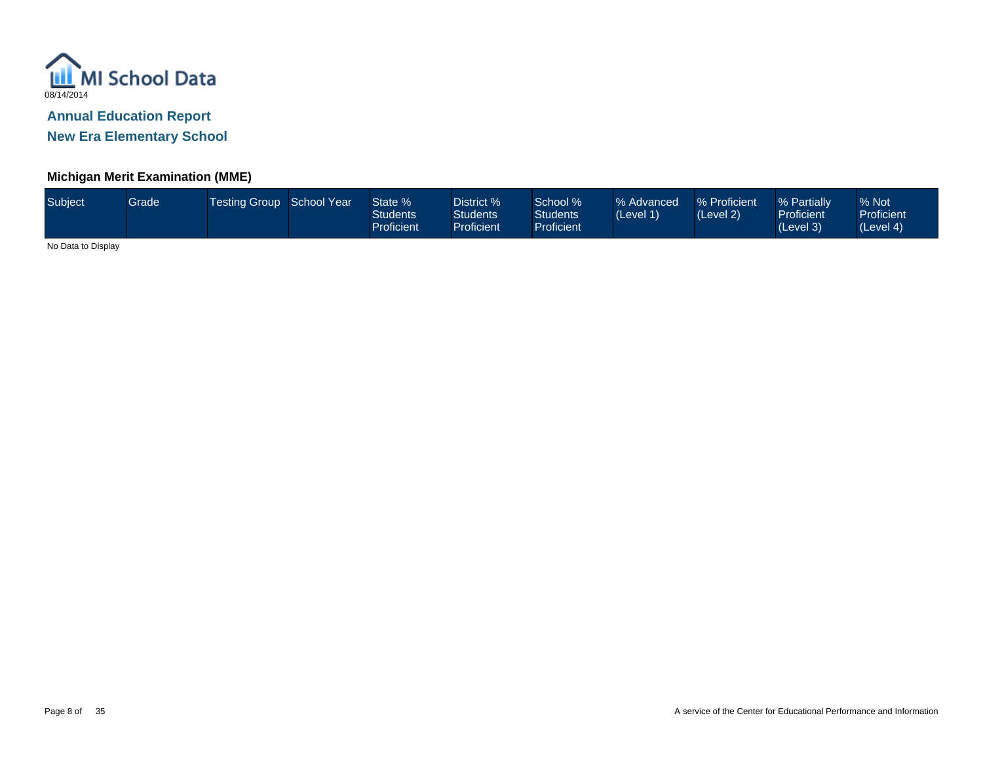

**New Era Elementary School**

### **Michigan Merit Examination (MME)**

| Subject | Grade | Testing Group School Year |  | State %<br>Students<br>Proficient | District %<br>Students <sup>®</sup><br><b>Proficient</b> | School %<br><b>Students</b><br>Proficient <sup>1</sup> | % Advanced<br>(Level 1) | % Proficient<br>(Level 2) | % Partially<br><b>Proficient</b><br>(Level 3) | % Not<br><b>Proficient</b><br>(Level 4) |
|---------|-------|---------------------------|--|-----------------------------------|----------------------------------------------------------|--------------------------------------------------------|-------------------------|---------------------------|-----------------------------------------------|-----------------------------------------|
|---------|-------|---------------------------|--|-----------------------------------|----------------------------------------------------------|--------------------------------------------------------|-------------------------|---------------------------|-----------------------------------------------|-----------------------------------------|

No Data to Display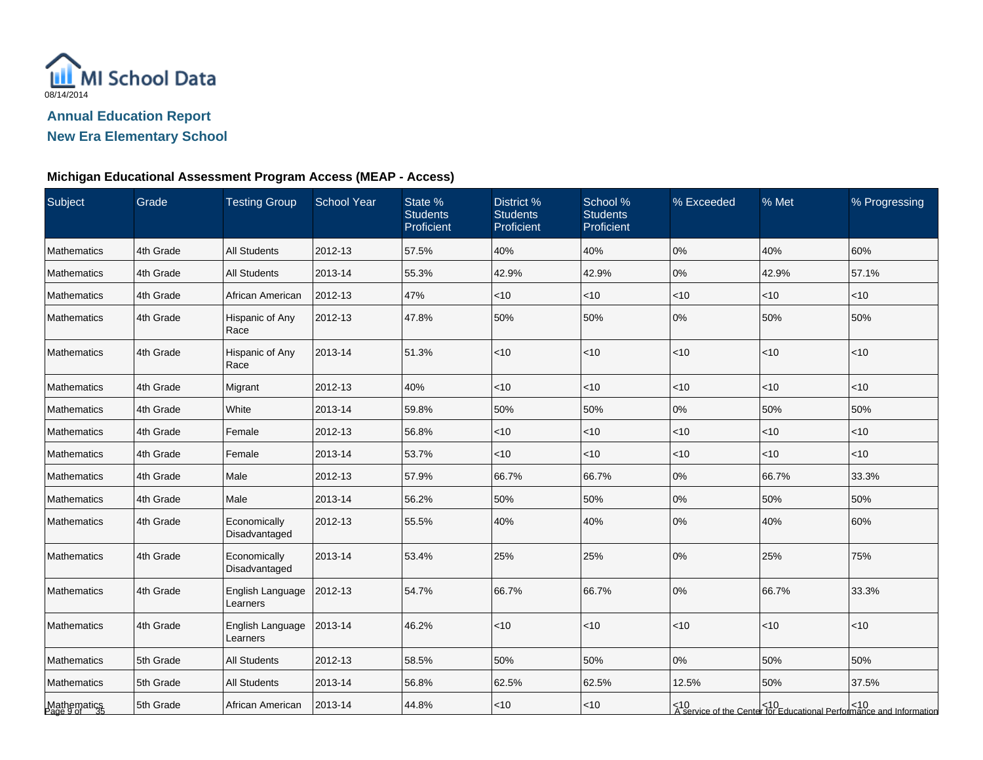

# **New Era Elementary School**

# **Michigan Educational Assessment Program Access (MEAP - Access)**

| Subject                  | Grade     | <b>Testing Group</b>          | <b>School Year</b> | State %<br><b>Students</b><br>Proficient | District %<br><b>Students</b><br>Proficient | School %<br><b>Students</b><br>Proficient | % Exceeded | % Met  | % Progressing                                                                |
|--------------------------|-----------|-------------------------------|--------------------|------------------------------------------|---------------------------------------------|-------------------------------------------|------------|--------|------------------------------------------------------------------------------|
| Mathematics              | 4th Grade | <b>All Students</b>           | 2012-13            | 57.5%                                    | 40%                                         | 40%                                       | 0%         | 40%    | 60%                                                                          |
| Mathematics              | 4th Grade | <b>All Students</b>           | 2013-14            | 55.3%                                    | 42.9%                                       | 42.9%                                     | 0%         | 42.9%  | 57.1%                                                                        |
| Mathematics              | 4th Grade | African American              | 2012-13            | 47%                                      | $<$ 10                                      | $<$ 10                                    | $<$ 10     | <10    | < 10                                                                         |
| Mathematics              | 4th Grade | Hispanic of Any<br>Race       | 2012-13            | 47.8%                                    | 50%                                         | 50%                                       | 0%         | 50%    | 50%                                                                          |
| Mathematics              | 4th Grade | Hispanic of Any<br>Race       | 2013-14            | 51.3%                                    | < 10                                        | <10                                       | < 10       | < 10   | < 10                                                                         |
| Mathematics              | 4th Grade | Migrant                       | 2012-13            | 40%                                      | <10                                         | <10                                       | <10        | <10    | < 10                                                                         |
| Mathematics              | 4th Grade | White                         | 2013-14            | 59.8%                                    | 50%                                         | 50%                                       | 0%         | 50%    | 50%                                                                          |
| Mathematics              | 4th Grade | Female                        | 2012-13            | 56.8%                                    | $<$ 10                                      | $<$ 10                                    | $<$ 10     | $<$ 10 | $<$ 10                                                                       |
| Mathematics              | 4th Grade | Female                        | 2013-14            | 53.7%                                    | $<$ 10                                      | < 10                                      | $<$ 10     | < 10   | $<$ 10                                                                       |
| Mathematics              | 4th Grade | Male                          | 2012-13            | 57.9%                                    | 66.7%                                       | 66.7%                                     | 0%         | 66.7%  | 33.3%                                                                        |
| Mathematics              | 4th Grade | Male                          | 2013-14            | 56.2%                                    | 50%                                         | 50%                                       | 0%         | 50%    | 50%                                                                          |
| Mathematics              | 4th Grade | Economically<br>Disadvantaged | 2012-13            | 55.5%                                    | 40%                                         | 40%                                       | 0%         | 40%    | 60%                                                                          |
| Mathematics              | 4th Grade | Economically<br>Disadvantaged | 2013-14            | 53.4%                                    | 25%                                         | 25%                                       | 0%         | 25%    | 75%                                                                          |
| Mathematics              | 4th Grade | English Language<br>Learners  | 2012-13            | 54.7%                                    | 66.7%                                       | 66.7%                                     | 0%         | 66.7%  | 33.3%                                                                        |
| Mathematics              | 4th Grade | English Language<br>Learners  | 2013-14            | 46.2%                                    | $<$ 10                                      | <10                                       | < 10       | < 10   | < 10                                                                         |
| Mathematics              | 5th Grade | <b>All Students</b>           | 2012-13            | 58.5%                                    | 50%                                         | 50%                                       | 0%         | 50%    | 50%                                                                          |
| Mathematics              | 5th Grade | <b>All Students</b>           | 2013-14            | 56.8%                                    | 62.5%                                       | 62.5%                                     | 12.5%      | 50%    | 37.5%                                                                        |
| Mathematics<br>Page 9 of | 5th Grade | African American              | 2013-14            | 44.8%                                    | $<$ 10                                      | ~10                                       |            |        | <10<br>  A service of the Center for Educational Performance and Information |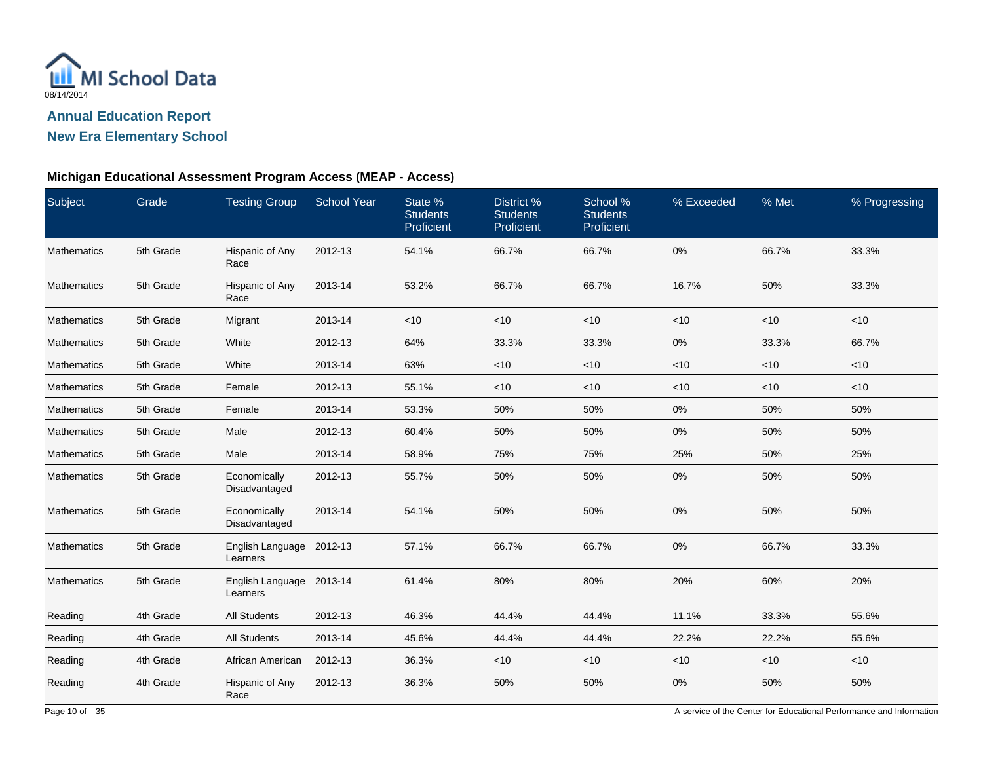

#### **New Era Elementary School**

#### **Michigan Educational Assessment Program Access (MEAP - Access)**

| Subject       | Grade     | <b>Testing Group</b>                | <b>School Year</b> | State %<br><b>Students</b><br>Proficient | District %<br><b>Students</b><br>Proficient | School %<br><b>Students</b><br>Proficient | % Exceeded | % Met | % Progressing |
|---------------|-----------|-------------------------------------|--------------------|------------------------------------------|---------------------------------------------|-------------------------------------------|------------|-------|---------------|
| Mathematics   | 5th Grade | Hispanic of Any<br>Race             | 2012-13            | 54.1%                                    | 66.7%                                       | 66.7%                                     | 0%         | 66.7% | 33.3%         |
| Mathematics   | 5th Grade | Hispanic of Any<br>Race             | 2013-14            | 53.2%                                    | 66.7%                                       | 66.7%                                     | 16.7%      | 50%   | 33.3%         |
| Mathematics   | 5th Grade | Migrant                             | 2013-14            | < 10                                     | $<$ 10                                      | $<$ 10                                    | $<$ 10     | <10   | < 10          |
| Mathematics   | 5th Grade | White                               | 2012-13            | 64%                                      | 33.3%                                       | 33.3%                                     | 0%         | 33.3% | 66.7%         |
| Mathematics   | 5th Grade | White                               | 2013-14            | 63%                                      | $<$ 10                                      | $<$ 10                                    | $<$ 10     | < 10  | $<$ 10        |
| l Mathematics | 5th Grade | Female                              | 2012-13            | 55.1%                                    | $<$ 10                                      | $<$ 10                                    | $<$ 10     | < 10  | < 10          |
| Mathematics   | 5th Grade | Female                              | 2013-14            | 53.3%                                    | 50%                                         | 50%                                       | 0%         | 50%   | 50%           |
| Mathematics   | 5th Grade | Male                                | 2012-13            | 60.4%                                    | 50%                                         | 50%                                       | 0%         | 50%   | 50%           |
| Mathematics   | 5th Grade | Male                                | 2013-14            | 58.9%                                    | 75%                                         | 75%                                       | 25%        | 50%   | 25%           |
| l Mathematics | 5th Grade | Economically<br>Disadvantaged       | 2012-13            | 55.7%                                    | 50%                                         | 50%                                       | 0%         | 50%   | 50%           |
| Mathematics   | 5th Grade | Economically<br>Disadvantaged       | 2013-14            | 54.1%                                    | 50%                                         | 50%                                       | 0%         | 50%   | 50%           |
| Mathematics   | 5th Grade | English Language<br>Learners        | 2012-13            | 57.1%                                    | 66.7%                                       | 66.7%                                     | 0%         | 66.7% | 33.3%         |
| Mathematics   | 5th Grade | <b>English Language</b><br>Learners | 2013-14            | 61.4%                                    | 80%                                         | 80%                                       | 20%        | 60%   | 20%           |
| Reading       | 4th Grade | <b>All Students</b>                 | 2012-13            | 46.3%                                    | 44.4%                                       | 44.4%                                     | 11.1%      | 33.3% | 55.6%         |
| Reading       | 4th Grade | <b>All Students</b>                 | 2013-14            | 45.6%                                    | 44.4%                                       | 44.4%                                     | 22.2%      | 22.2% | 55.6%         |
| Reading       | 4th Grade | African American                    | 2012-13            | 36.3%                                    | $<$ 10                                      | $<$ 10                                    | $<$ 10     | < 10  | $<$ 10        |
| Reading       | 4th Grade | Hispanic of Any<br>Race             | 2012-13            | 36.3%                                    | 50%                                         | 50%                                       | 0%         | 50%   | 50%           |

A service of the Center for Educational Performance and Information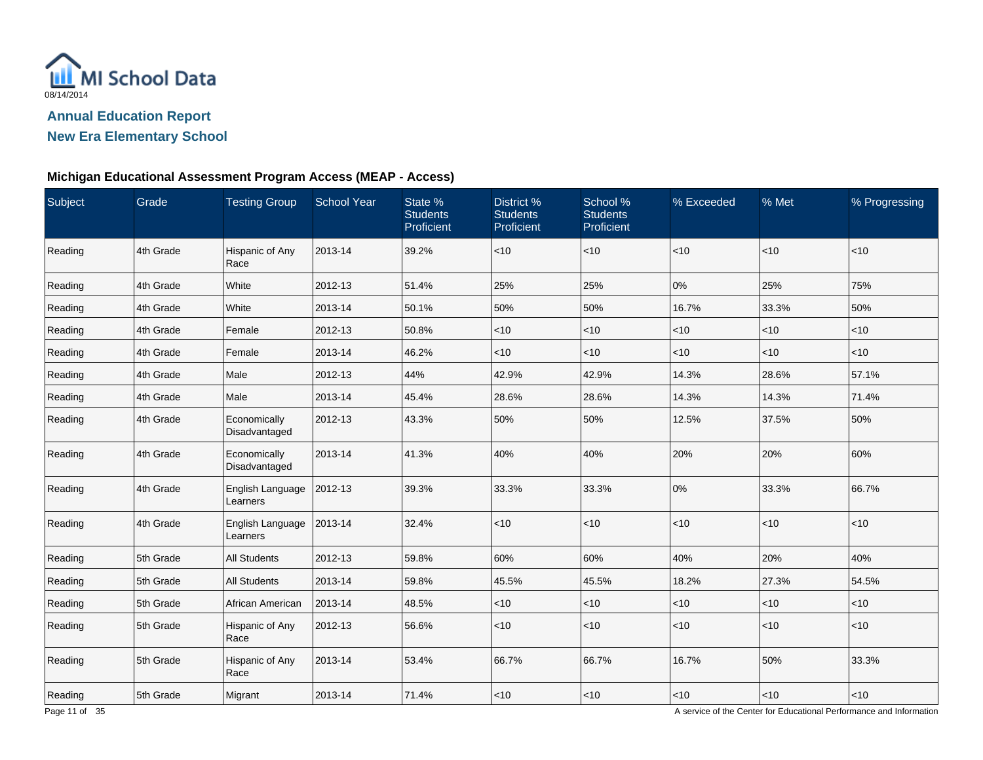

#### **New Era Elementary School**

#### **Michigan Educational Assessment Program Access (MEAP - Access)**

| Subject | Grade     | <b>Testing Group</b>          | <b>School Year</b> | State %<br><b>Students</b><br>Proficient | District %<br><b>Students</b><br>Proficient | School %<br><b>Students</b><br>Proficient | % Exceeded | % Met  | % Progressing |
|---------|-----------|-------------------------------|--------------------|------------------------------------------|---------------------------------------------|-------------------------------------------|------------|--------|---------------|
| Reading | 4th Grade | Hispanic of Any<br>Race       | 2013-14            | 39.2%                                    | $<$ 10                                      | $<$ 10                                    | $<$ 10     | <10    | $<10$         |
| Reading | 4th Grade | White                         | 2012-13            | 51.4%                                    | 25%                                         | 25%                                       | 0%         | 25%    | 75%           |
| Reading | 4th Grade | White                         | 2013-14            | 50.1%                                    | 50%                                         | 50%                                       | 16.7%      | 33.3%  | 50%           |
| Reading | 4th Grade | Female                        | 2012-13            | 50.8%                                    | <10                                         | $<$ 10                                    | $<$ 10     | $<$ 10 | $<$ 10        |
| Reading | 4th Grade | Female                        | 2013-14            | 46.2%                                    | $<$ 10                                      | $<$ 10                                    | $<$ 10     | $<$ 10 | $<$ 10        |
| Reading | 4th Grade | Male                          | 2012-13            | 44%                                      | 42.9%                                       | 42.9%                                     | 14.3%      | 28.6%  | 57.1%         |
| Reading | 4th Grade | Male                          | 2013-14            | 45.4%                                    | 28.6%                                       | 28.6%                                     | 14.3%      | 14.3%  | 71.4%         |
| Reading | 4th Grade | Economically<br>Disadvantaged | 2012-13            | 43.3%                                    | 50%                                         | 50%                                       | 12.5%      | 37.5%  | 50%           |
| Reading | 4th Grade | Economically<br>Disadvantaged | 2013-14            | 41.3%                                    | 40%                                         | 40%                                       | 20%        | 20%    | 60%           |
| Reading | 4th Grade | English Language<br>Learners  | 2012-13            | 39.3%                                    | 33.3%                                       | 33.3%                                     | 0%         | 33.3%  | 66.7%         |
| Reading | 4th Grade | English Language<br>Learners  | 2013-14            | 32.4%                                    | <10                                         | $<$ 10                                    | $<$ 10     | <10    | $<10$         |
| Reading | 5th Grade | <b>All Students</b>           | 2012-13            | 59.8%                                    | 60%                                         | 60%                                       | 40%        | 20%    | 40%           |
| Reading | 5th Grade | <b>All Students</b>           | 2013-14            | 59.8%                                    | 45.5%                                       | 45.5%                                     | 18.2%      | 27.3%  | 54.5%         |
| Reading | 5th Grade | African American              | 2013-14            | 48.5%                                    | <10                                         | $<$ 10                                    | $<$ 10     | $<$ 10 | $<10$         |
| Reading | 5th Grade | Hispanic of Any<br>Race       | 2012-13            | 56.6%                                    | $<$ 10                                      | $<$ 10                                    | $<$ 10     | $<$ 10 | $<$ 10        |
| Reading | 5th Grade | Hispanic of Any<br>Race       | 2013-14            | 53.4%                                    | 66.7%                                       | 66.7%                                     | 16.7%      | 50%    | 33.3%         |
| Reading | 5th Grade | Migrant                       | 2013-14            | 71.4%                                    | $<$ 10                                      | $<10$                                     | $<10$      | $<10$  | $<10$         |

A service of the Center for Educational Performance and Information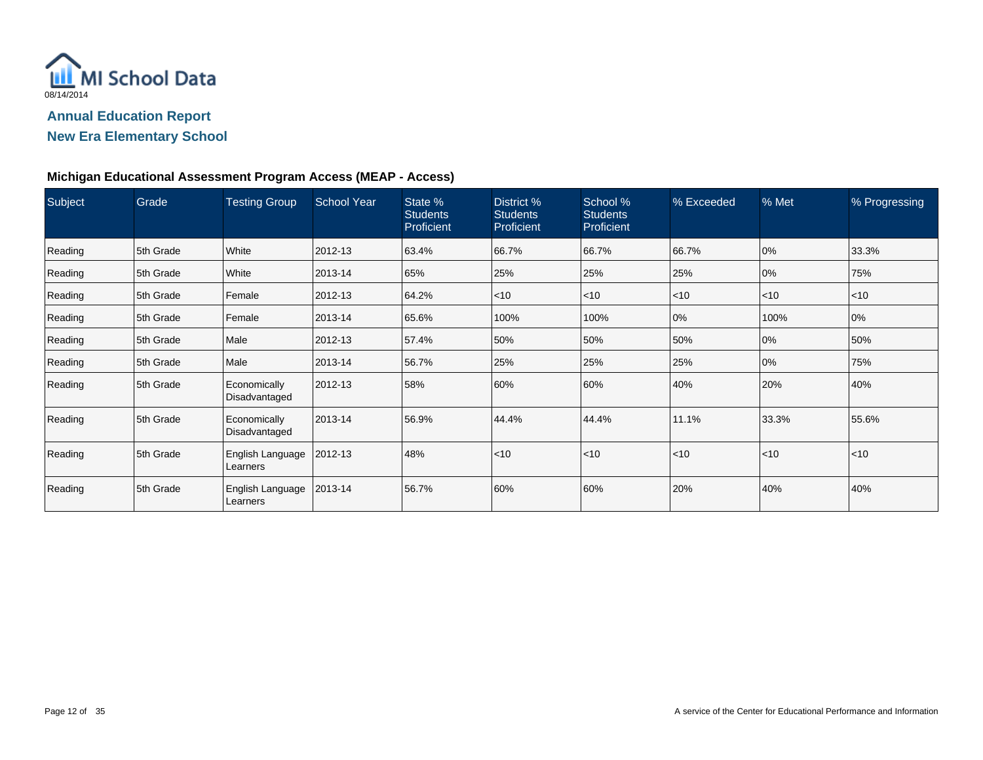

#### **New Era Elementary School**

#### **Michigan Educational Assessment Program Access (MEAP - Access)**

| Subject | Grade     | <b>Testing Group</b>          | <b>School Year</b> | State %<br><b>Students</b><br>Proficient | District %<br><b>Students</b><br>Proficient | School %<br><b>Students</b><br>Proficient | % Exceeded | % Met | % Progressing |
|---------|-----------|-------------------------------|--------------------|------------------------------------------|---------------------------------------------|-------------------------------------------|------------|-------|---------------|
| Reading | 5th Grade | White                         | 2012-13            | 63.4%                                    | 66.7%                                       | 66.7%                                     | 66.7%      | 0%    | 33.3%         |
| Reading | 5th Grade | White                         | 2013-14            | 65%                                      | 25%                                         | 25%                                       | 25%        | $0\%$ | 75%           |
| Reading | 5th Grade | Female                        | 2012-13            | 64.2%                                    | $<$ 10                                      | $\leq 10$                                 | < 10       | < 10  | $<$ 10        |
| Reading | 5th Grade | Female                        | 2013-14            | 65.6%                                    | 100%                                        | 100%                                      | 0%         | 100%  | 0%            |
| Reading | 5th Grade | Male                          | 2012-13            | 57.4%                                    | 50%                                         | 50%                                       | 50%        | 0%    | 50%           |
| Reading | 5th Grade | Male                          | 2013-14            | 56.7%                                    | 25%                                         | 25%                                       | 25%        | 0%    | 75%           |
| Reading | 5th Grade | Economically<br>Disadvantaged | 2012-13            | 58%                                      | 60%                                         | 60%                                       | 40%        | 20%   | 40%           |
| Reading | 5th Grade | Economically<br>Disadvantaged | 2013-14            | 56.9%                                    | 44.4%                                       | 44.4%                                     | 11.1%      | 33.3% | 55.6%         |
| Reading | 5th Grade | English Language<br>Learners  | 2012-13            | 48%                                      | < 10                                        | $\leq 10$                                 | < 10       | < 10  | $<$ 10        |
| Reading | 5th Grade | English Language<br>Learners  | 2013-14            | 56.7%                                    | 60%                                         | 60%                                       | 20%        | 40%   | 40%           |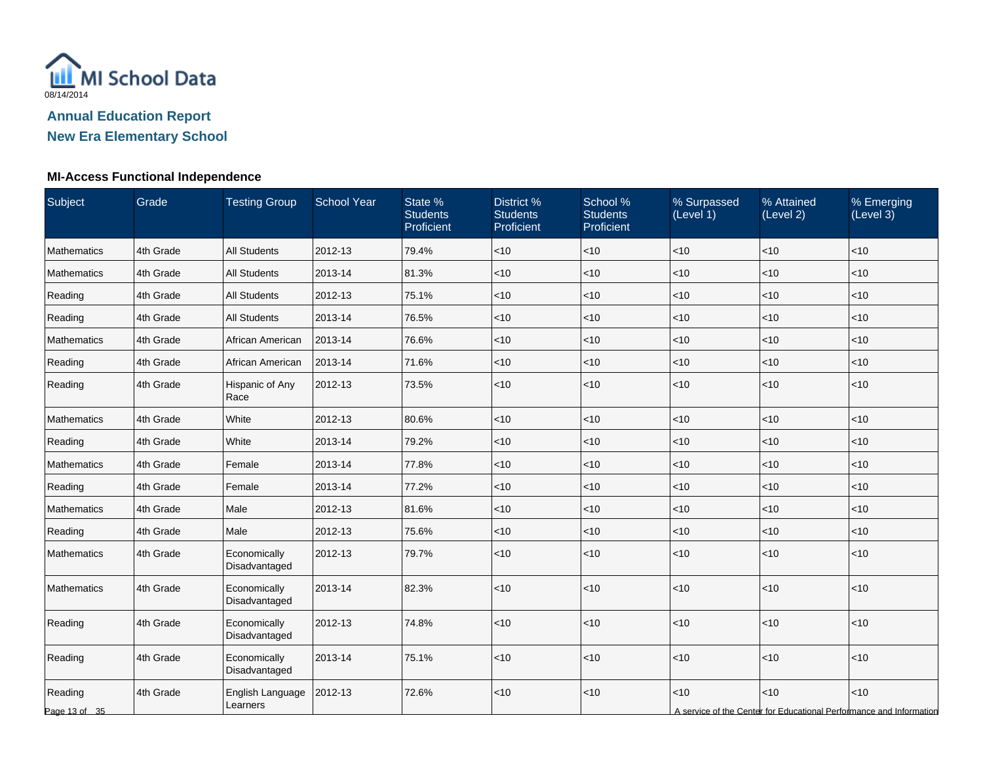

# **MI-Access Functional Independence**

| Subject                  | Grade     | <b>Testing Group</b>          | <b>School Year</b> | State %<br><b>Students</b><br>Proficient | District %<br><b>Students</b><br>Proficient | School %<br><b>Students</b><br>Proficient | % Surpassed<br>(Level 1) | % Attained<br>(Level 2) | % Emerging<br>(Level 3)                                                     |
|--------------------------|-----------|-------------------------------|--------------------|------------------------------------------|---------------------------------------------|-------------------------------------------|--------------------------|-------------------------|-----------------------------------------------------------------------------|
| Mathematics              | 4th Grade | <b>All Students</b>           | 2012-13            | 79.4%                                    | $<$ 10                                      | $<$ 10                                    | $<$ 10                   | < 10                    | $<$ 10                                                                      |
| Mathematics              | 4th Grade | <b>All Students</b>           | 2013-14            | 81.3%                                    | $<$ 10                                      | $<$ 10                                    | <10                      | <10                     | $<$ 10                                                                      |
| Reading                  | 4th Grade | <b>All Students</b>           | 2012-13            | 75.1%                                    | <10                                         | $<$ 10                                    | $<$ 10                   | <10                     | < 10                                                                        |
| Reading                  | 4th Grade | <b>All Students</b>           | 2013-14            | 76.5%                                    | < 10                                        | $<$ 10                                    | $<$ 10                   | < 10                    | < 10                                                                        |
| Mathematics              | 4th Grade | African American              | 2013-14            | 76.6%                                    | $<$ 10                                      | $<$ 10                                    | $<$ 10                   | < 10                    | $<$ 10                                                                      |
| Reading                  | 4th Grade | African American              | 2013-14            | 71.6%                                    | $<$ 10                                      | $<$ 10                                    | $<$ 10                   | $<$ 10                  | $<$ 10                                                                      |
| Reading                  | 4th Grade | Hispanic of Any<br>Race       | 2012-13            | 73.5%                                    | < 10                                        | $<$ 10                                    | < 10                     | <10                     | < 10                                                                        |
| Mathematics              | 4th Grade | White                         | 2012-13            | 80.6%                                    | $<$ 10                                      | $<$ 10                                    | $<$ 10                   | <10                     | < 10                                                                        |
| Reading                  | 4th Grade | White                         | 2013-14            | 79.2%                                    | < 10                                        | $<$ 10                                    | <10                      | < 10                    | < 10                                                                        |
| Mathematics              | 4th Grade | Female                        | 2013-14            | 77.8%                                    | <10                                         | $<$ 10                                    | $<$ 10                   | <10                     | < 10                                                                        |
| Reading                  | 4th Grade | Female                        | 2013-14            | 77.2%                                    | < 10                                        | $<$ 10                                    | $<$ 10                   | < 10                    | $<$ 10                                                                      |
| Mathematics              | 4th Grade | Male                          | 2012-13            | 81.6%                                    | < 10                                        | $<$ 10                                    | <10                      | < 10                    | $<$ 10                                                                      |
| Reading                  | 4th Grade | Male                          | 2012-13            | 75.6%                                    | <10                                         | $<$ 10                                    | $<$ 10                   | $<$ 10                  | $<$ 10                                                                      |
| Mathematics              | 4th Grade | Economically<br>Disadvantaged | 2012-13            | 79.7%                                    | < 10                                        | $<$ 10                                    | $<$ 10                   | <10                     | < 10                                                                        |
| Mathematics              | 4th Grade | Economically<br>Disadvantaged | 2013-14            | 82.3%                                    | < 10                                        | $<$ 10                                    | < 10                     | <10                     | < 10                                                                        |
| Reading                  | 4th Grade | Economically<br>Disadvantaged | 2012-13            | 74.8%                                    | <10                                         | $<$ 10                                    | $<$ 10                   | <10                     | $<10$                                                                       |
| Reading                  | 4th Grade | Economically<br>Disadvantaged | 2013-14            | 75.1%                                    | <10                                         | $<$ 10                                    | < 10                     | < 10                    | < 10                                                                        |
| Reading<br>Page 13 of 35 | 4th Grade | English Language<br>Learners  | 2012-13            | 72.6%                                    | <10                                         | $<$ 10                                    | <10                      | <10                     | < 10<br>A service of the Center for Educational Performance and Information |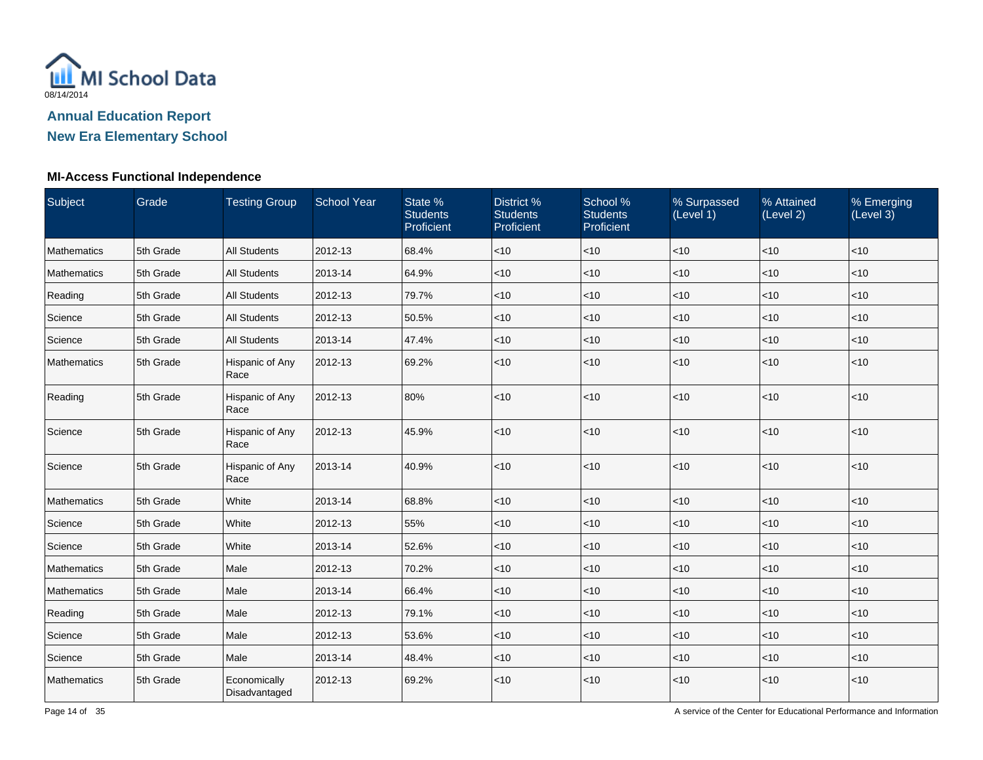

### **New Era Elementary School**

#### **MI-Access Functional Independence**

| Subject     | Grade     | <b>Testing Group</b>          | <b>School Year</b> | State %<br><b>Students</b><br>Proficient | District %<br><b>Students</b><br>Proficient | School %<br><b>Students</b><br>Proficient | % Surpassed<br>(Level 1) | % Attained<br>(Level 2) | % Emerging<br>(Level 3) |
|-------------|-----------|-------------------------------|--------------------|------------------------------------------|---------------------------------------------|-------------------------------------------|--------------------------|-------------------------|-------------------------|
| Mathematics | 5th Grade | <b>All Students</b>           | 2012-13            | 68.4%                                    | $<10$                                       | < 10                                      | $<$ 10                   | $<10$                   | <10                     |
| Mathematics | 5th Grade | <b>All Students</b>           | 2013-14            | 64.9%                                    | < 10                                        | $ $ < 10                                  | < 10                     | < 10                    | < 10                    |
| Reading     | 5th Grade | <b>All Students</b>           | 2012-13            | 79.7%                                    | < 10                                        | $ $ < 10                                  | $<$ 10                   | < 10                    | $<$ 10                  |
| Science     | 5th Grade | <b>All Students</b>           | 2012-13            | 50.5%                                    | < 10                                        | $\vert$ < 10                              | <10                      | < 10                    | < 10                    |
| Science     | 5th Grade | <b>All Students</b>           | 2013-14            | 47.4%                                    | < 10                                        | < 10                                      | < 10                     | < 10                    | < 10                    |
| Mathematics | 5th Grade | Hispanic of Any<br>Race       | 2012-13            | 69.2%                                    | < 10                                        | < 10                                      | $<10$                    | < 10                    | < 10                    |
| Reading     | 5th Grade | Hispanic of Any<br>Race       | 2012-13            | 80%                                      | < 10                                        | $\vert$ < 10                              | < 10                     | < 10                    | $<$ 10                  |
| Science     | 5th Grade | Hispanic of Any<br>Race       | 2012-13            | 45.9%                                    | $<10$                                       | $\vert$ < 10                              | <10                      | < 10                    | < 10                    |
| Science     | 5th Grade | Hispanic of Any<br>Race       | 2013-14            | 40.9%                                    | $<10$                                       | $\vert$ < 10                              | <10                      | $<10$                   | < 10                    |
| Mathematics | 5th Grade | White                         | 2013-14            | 68.8%                                    | $<$ 10                                      | $ $ < 10                                  | <10                      | < 10                    | < 10                    |
| Science     | 5th Grade | White                         | 2012-13            | 55%                                      | $<10$                                       | < 10                                      | <10                      | $<10$                   | $<$ 10                  |
| Science     | 5th Grade | White                         | 2013-14            | 52.6%                                    | < 10                                        | < 10                                      | $<$ 10                   | < 10                    | < 10                    |
| Mathematics | 5th Grade | Male                          | 2012-13            | 70.2%                                    | $<$ 10                                      | < 10                                      | $<$ 10                   | $<$ 10                  | < 10                    |
| Mathematics | 5th Grade | Male                          | 2013-14            | 66.4%                                    | $<$ 10                                      | $\vert$ < 10                              | $<$ 10                   | $<$ 10                  | $<$ 10                  |
| Reading     | 5th Grade | Male                          | 2012-13            | 79.1%                                    | $<10$                                       | $ $ < 10                                  | $<10$                    | $<10$                   | $<10$                   |
| Science     | 5th Grade | Male                          | 2012-13            | 53.6%                                    | < 10                                        | < 10                                      | $<$ 10                   | < 10                    | $<$ 10                  |
| Science     | 5th Grade | Male                          | 2013-14            | 48.4%                                    | $<10$                                       | < 10                                      | $<$ 10                   | $<$ 10                  | $<$ 10                  |
| Mathematics | 5th Grade | Economically<br>Disadvantaged | 2012-13            | 69.2%                                    | $<10$                                       | $\leq 10$                                 | < 10                     | < 10                    | $<$ 10                  |

A service of the Center for Educational Performance and Information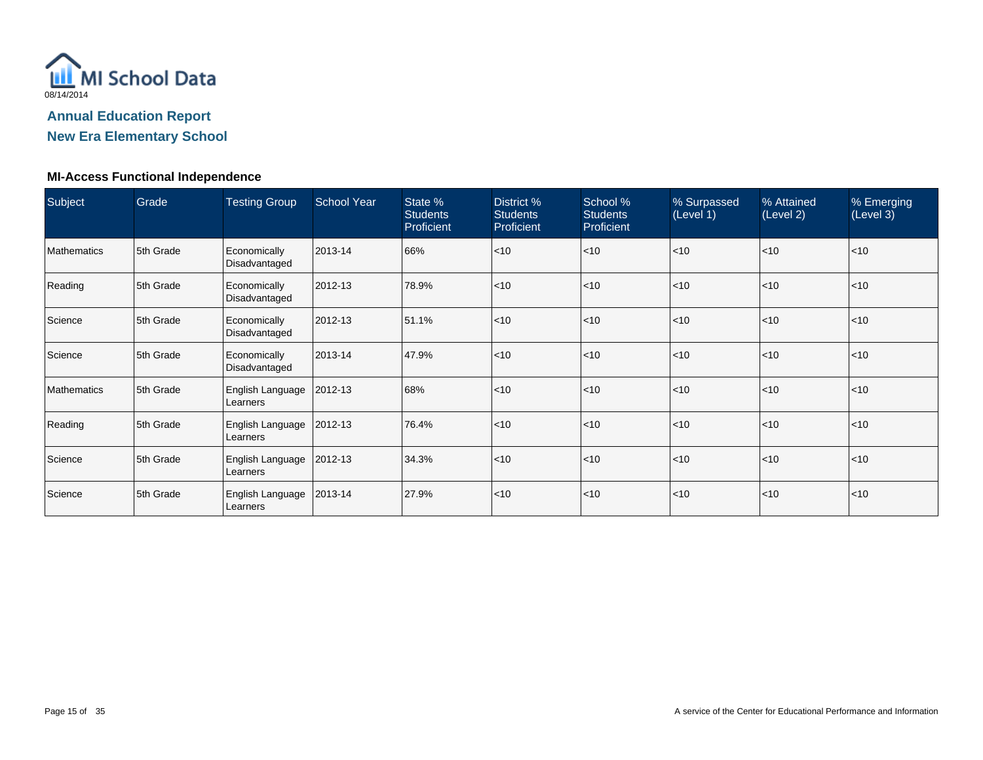

#### **New Era Elementary School**

#### **MI-Access Functional Independence**

| Subject            | Grade     | <b>Testing Group</b>          | <b>School Year</b> | State %<br><b>Students</b><br>Proficient | District %<br><b>Students</b><br>Proficient | School %<br><b>Students</b><br>Proficient | % Surpassed<br>(Level 1) | % Attained<br>(Level 2) | % Emerging<br>(Level 3) |
|--------------------|-----------|-------------------------------|--------------------|------------------------------------------|---------------------------------------------|-------------------------------------------|--------------------------|-------------------------|-------------------------|
| <b>Mathematics</b> | 5th Grade | Economically<br>Disadvantaged | 2013-14            | 66%                                      | < 10                                        | $<$ 10                                    | $ $ < 10                 | < 10                    | $ $ < 10                |
| Reading            | 5th Grade | Economically<br>Disadvantaged | 2012-13            | 78.9%                                    | < 10                                        | ~10                                       | $<$ 10                   | $ $ < 10                | < 10                    |
| Science            | 5th Grade | Economically<br>Disadvantaged | 2012-13            | 51.1%                                    | $<$ 10                                      | $<$ 10                                    | $<$ 10                   | $ $ < 10                | $ $ < 10                |
| Science            | 5th Grade | Economically<br>Disadvantaged | 2013-14            | 47.9%                                    | < 10                                        | ~10                                       | $<$ 10                   | $ $ < 10                | < 10                    |
| <b>Mathematics</b> | 5th Grade | English Language<br>Learners  | 2012-13            | 68%                                      | < 10                                        | ~10                                       | $<$ 10                   | $ $ < 10                | < 10                    |
| Reading            | 5th Grade | English Language<br>Learners  | 2012-13            | 76.4%                                    | $<$ 10                                      | $<$ 10                                    | $ $ < 10                 | $ $ < 10                | $ $ < 10                |
| Science            | 5th Grade | English Language<br>Learners  | 2012-13            | 34.3%                                    | < 10                                        | $<$ 10                                    | $<$ 10                   | $ $ < 10                | $ $ < 10                |
| Science            | 5th Grade | English Language<br>Learners  | 2013-14            | 27.9%                                    | $<$ 10                                      | ~10                                       | $<$ 10                   | $10$                    | $ $ < 10                |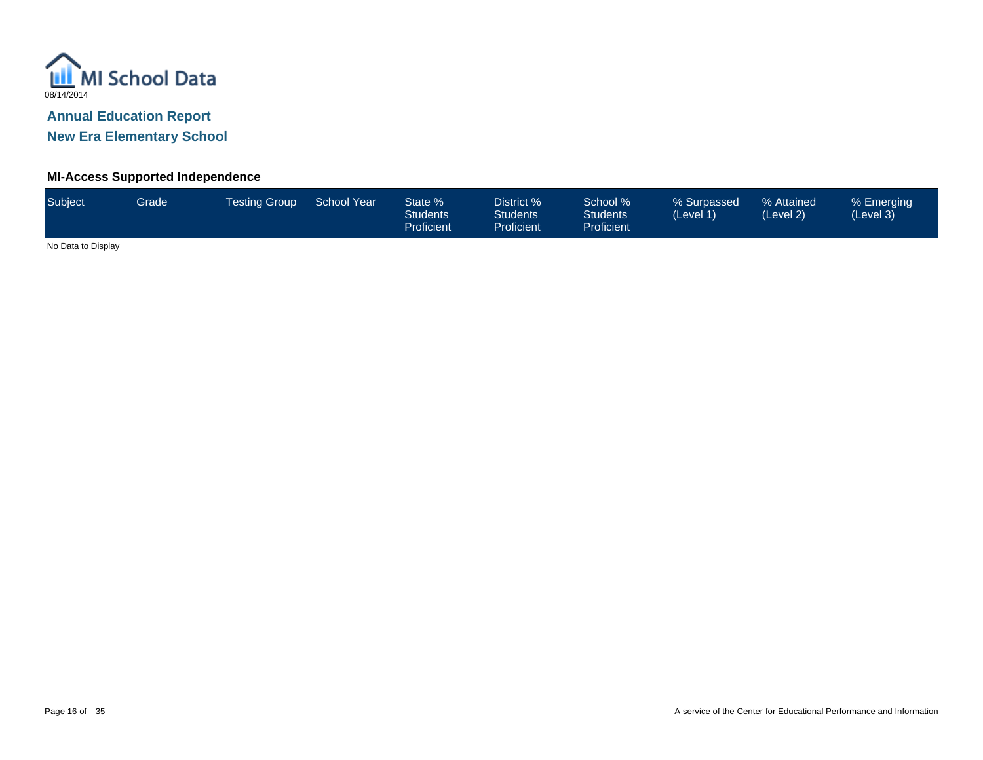

**New Era Elementary School**

#### **MI-Access Supported Independence**

| Subject | <b>Grade</b> | <b>Testing Group</b> | <b>School Year</b> | State %<br><b>Students</b><br><b>Proficient</b> | District %<br><b>Students</b><br><b>Proficient</b> | School %<br><b>Students</b><br><b>Proficient</b> | % Surpassed<br>(Level 1) | % Attained<br>(Level 2) | % Emerging<br>(Level 3) |
|---------|--------------|----------------------|--------------------|-------------------------------------------------|----------------------------------------------------|--------------------------------------------------|--------------------------|-------------------------|-------------------------|
| .       |              |                      |                    |                                                 |                                                    |                                                  |                          |                         |                         |

No Data to Display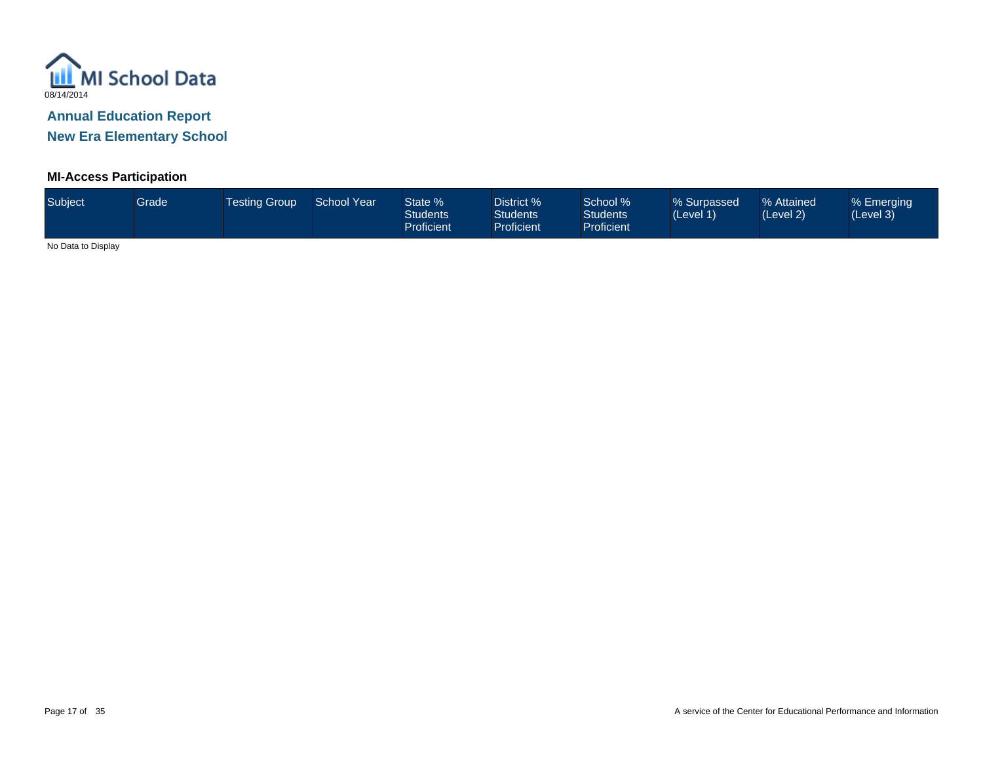

**New Era Elementary School**

#### **MI-Access Participation**

| Subject <sup>1</sup> | <b>Grade</b> | <b>Testing Group</b> | School Year | State %<br><b>Students</b><br>Proficient | District %<br><b>Students</b><br>Proficient | School %<br><b>Students</b><br>Proficient | % Surpassed<br>(Level 1) | % Attained<br>(Level 2) | % Emerging<br>(Level 3) |
|----------------------|--------------|----------------------|-------------|------------------------------------------|---------------------------------------------|-------------------------------------------|--------------------------|-------------------------|-------------------------|
|                      |              |                      |             |                                          |                                             |                                           |                          |                         |                         |

No Data to Display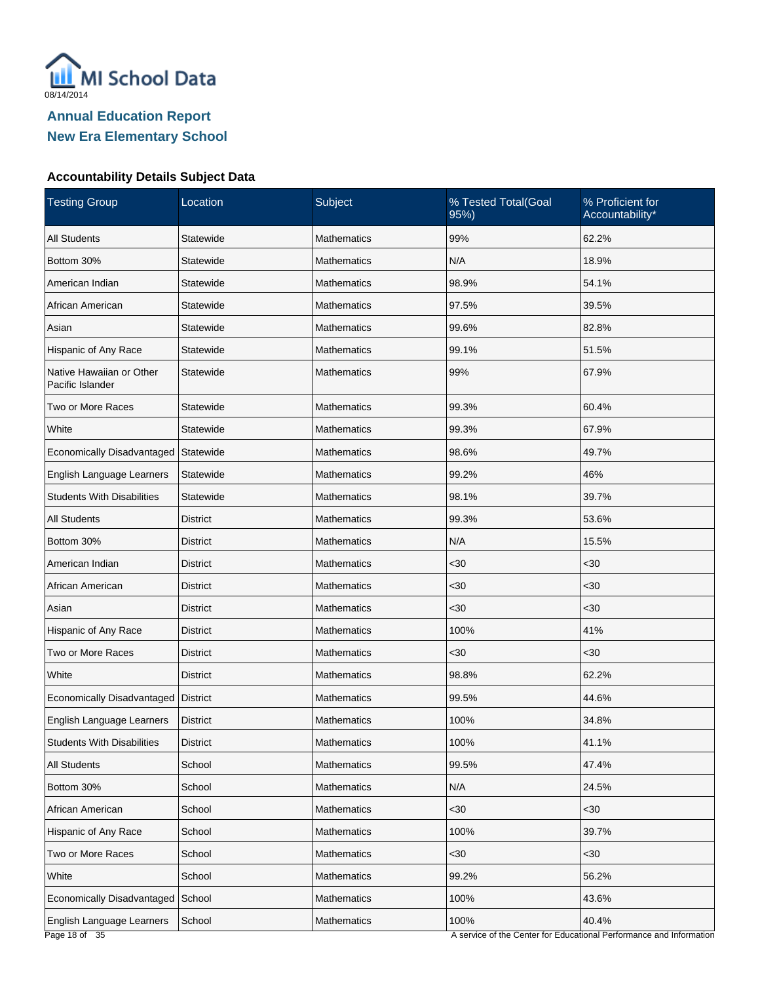

#### **Accountability Details Subject Data**

| <b>Testing Group</b>                         | Location        | Subject            | % Tested Total(Goal<br>95%) | % Proficient for<br>Accountability*                                          |
|----------------------------------------------|-----------------|--------------------|-----------------------------|------------------------------------------------------------------------------|
| <b>All Students</b>                          | Statewide       | <b>Mathematics</b> | 99%                         | 62.2%                                                                        |
| Bottom 30%                                   | Statewide       | <b>Mathematics</b> | N/A                         | 18.9%                                                                        |
| American Indian                              | Statewide       | <b>Mathematics</b> | 98.9%                       | 54.1%                                                                        |
| African American                             | Statewide       | <b>Mathematics</b> | 97.5%                       | 39.5%                                                                        |
| Asian                                        | Statewide       | <b>Mathematics</b> | 99.6%                       | 82.8%                                                                        |
| Hispanic of Any Race                         | Statewide       | <b>Mathematics</b> | 99.1%                       | 51.5%                                                                        |
| Native Hawaiian or Other<br>Pacific Islander | Statewide       | <b>Mathematics</b> | 99%                         | 67.9%                                                                        |
| Two or More Races                            | Statewide       | <b>Mathematics</b> | 99.3%                       | 60.4%                                                                        |
| White                                        | Statewide       | <b>Mathematics</b> | 99.3%                       | 67.9%                                                                        |
| Economically Disadvantaged                   | Statewide       | <b>Mathematics</b> | 98.6%                       | 49.7%                                                                        |
| English Language Learners                    | Statewide       | <b>Mathematics</b> | 99.2%                       | 46%                                                                          |
| <b>Students With Disabilities</b>            | Statewide       | <b>Mathematics</b> | 98.1%                       | 39.7%                                                                        |
| <b>All Students</b>                          | <b>District</b> | <b>Mathematics</b> | 99.3%                       | 53.6%                                                                        |
| Bottom 30%                                   | District        | <b>Mathematics</b> | N/A                         | 15.5%                                                                        |
| American Indian                              | <b>District</b> | <b>Mathematics</b> | $30$                        | <30                                                                          |
| African American                             | <b>District</b> | <b>Mathematics</b> | $30$                        | <30                                                                          |
| Asian                                        | <b>District</b> | <b>Mathematics</b> | $30$                        | $30$                                                                         |
| Hispanic of Any Race                         | District        | <b>Mathematics</b> | 100%                        | 41%                                                                          |
| Two or More Races                            | <b>District</b> | <b>Mathematics</b> | $30$                        | <30                                                                          |
| White                                        | <b>District</b> | <b>Mathematics</b> | 98.8%                       | 62.2%                                                                        |
| Economically Disadvantaged                   | <b>District</b> | <b>Mathematics</b> | 99.5%                       | 44.6%                                                                        |
| English Language Learners                    | <b>District</b> | Mathematics        | 100%                        | 34.8%                                                                        |
| <b>Students With Disabilities</b>            | <b>District</b> | Mathematics        | 100%                        | 41.1%                                                                        |
| <b>All Students</b>                          | School          | <b>Mathematics</b> | 99.5%                       | 47.4%                                                                        |
| Bottom 30%                                   | School          | <b>Mathematics</b> | N/A                         | 24.5%                                                                        |
| African American                             | School          | Mathematics        | $30$                        | <30                                                                          |
| Hispanic of Any Race                         | School          | <b>Mathematics</b> | 100%                        | 39.7%                                                                        |
| Two or More Races                            | School          | Mathematics        | $30$                        | $30$                                                                         |
| White                                        | School          | <b>Mathematics</b> | 99.2%                       | 56.2%                                                                        |
| Economically Disadvantaged                   | School          | Mathematics        | 100%                        | 43.6%                                                                        |
| English Language Learners<br>Page 18 of 35   | School          | <b>Mathematics</b> | 100%                        | 40.4%<br>A service of the Center for Educational Performance and Information |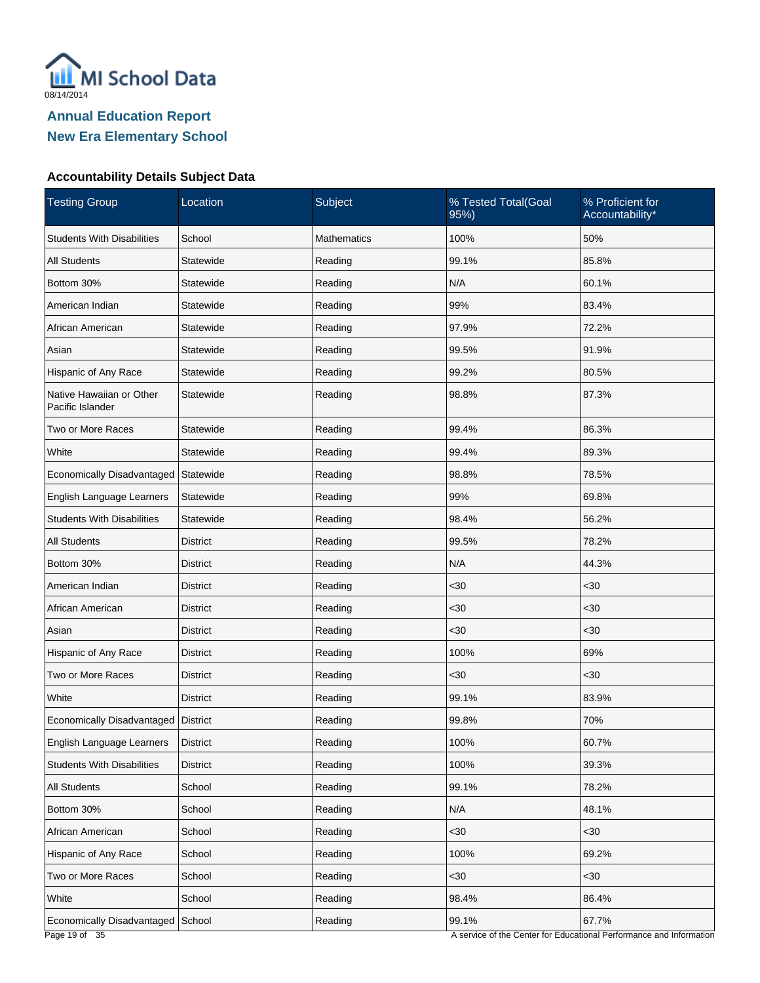

#### **Accountability Details Subject Data**

| <b>Testing Group</b>                         | Location        | Subject            | % Tested Total(Goal<br>95%) | % Proficient for<br>Accountability* |
|----------------------------------------------|-----------------|--------------------|-----------------------------|-------------------------------------|
| <b>Students With Disabilities</b>            | School          | <b>Mathematics</b> | 100%                        | 50%                                 |
| <b>All Students</b>                          | Statewide       | Reading            | 99.1%                       | 85.8%                               |
| Bottom 30%                                   | Statewide       | Reading            | N/A                         | 60.1%                               |
| American Indian                              | Statewide       | Reading            | 99%                         | 83.4%                               |
| African American                             | Statewide       | Reading            | 97.9%                       | 72.2%                               |
| Asian                                        | Statewide       | Reading            | 99.5%                       | 91.9%                               |
| Hispanic of Any Race                         | Statewide       | Reading            | 99.2%                       | 80.5%                               |
| Native Hawaiian or Other<br>Pacific Islander | Statewide       | Reading            | 98.8%                       | 87.3%                               |
| Two or More Races                            | Statewide       | Reading            | 99.4%                       | 86.3%                               |
| White                                        | Statewide       | Reading            | 99.4%                       | 89.3%                               |
| Economically Disadvantaged                   | Statewide       | Reading            | 98.8%                       | 78.5%                               |
| English Language Learners                    | Statewide       | Reading            | 99%                         | 69.8%                               |
| <b>Students With Disabilities</b>            | Statewide       | Reading            | 98.4%                       | 56.2%                               |
| <b>All Students</b>                          | District        | Reading            | 99.5%                       | 78.2%                               |
| Bottom 30%                                   | <b>District</b> | Reading            | N/A                         | 44.3%                               |
| American Indian                              | District        | Reading            | $30$                        | <30                                 |
| African American                             | <b>District</b> | Reading            | $30$                        | <30                                 |
| Asian                                        | District        | Reading            | $30$                        | <30                                 |
| Hispanic of Any Race                         | <b>District</b> | Reading            | 100%                        | 69%                                 |
| Two or More Races                            | District        | Reading            | $30$                        | <30                                 |
| White                                        | <b>District</b> | Reading            | 99.1%                       | 83.9%                               |
| Economically Disadvantaged   District        |                 | Reading            | 99.8%                       | 70%                                 |
| English Language Learners                    | <b>District</b> | Reading            | 100%                        | 60.7%                               |
| <b>Students With Disabilities</b>            | <b>District</b> | Reading            | 100%                        | 39.3%                               |
| <b>All Students</b>                          | School          | Reading            | 99.1%                       | 78.2%                               |
| Bottom 30%                                   | School          | Reading            | N/A                         | 48.1%                               |
| African American                             | School          | Reading            | $30$                        | $30$                                |
| Hispanic of Any Race                         | School          | Reading            | 100%                        | 69.2%                               |
| Two or More Races                            | School          | Reading            | $30$                        | $30$                                |
| White                                        | School          | Reading            | 98.4%                       | 86.4%                               |
| Economically Disadvantaged School            |                 | Reading            | 99.1%                       | 67.7%                               |

A service of the Center for Educational Performance and Information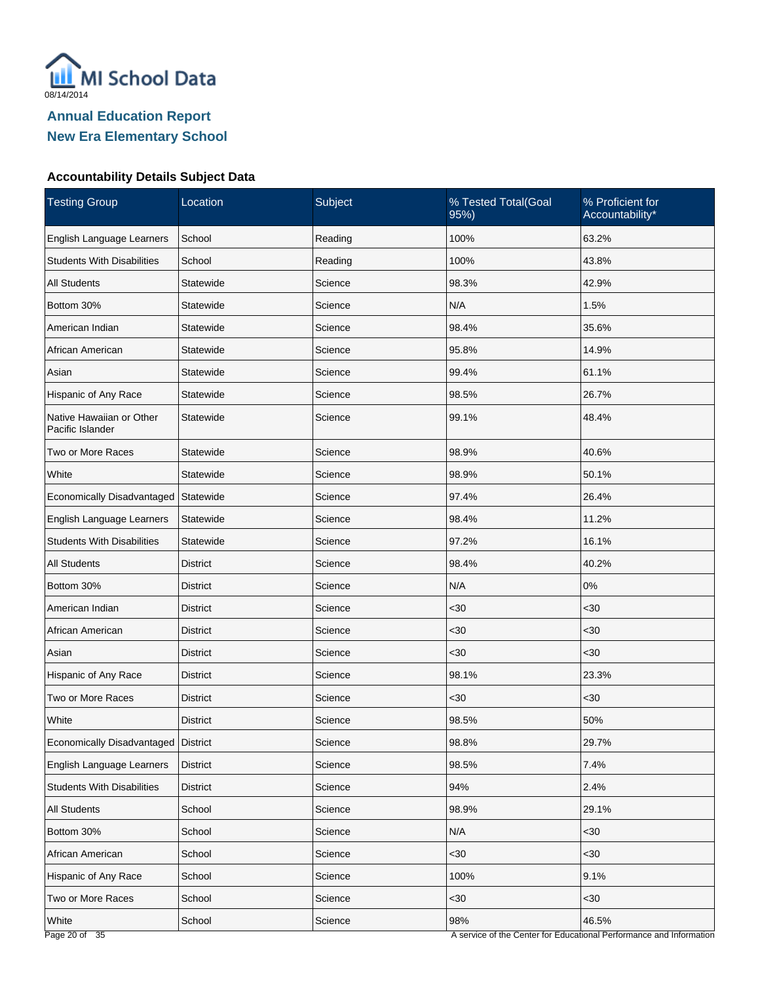

#### **Accountability Details Subject Data**

| <b>Testing Group</b>                         | Location        | Subject | % Tested Total(Goal<br>95%) | % Proficient for<br>Accountability*                                      |
|----------------------------------------------|-----------------|---------|-----------------------------|--------------------------------------------------------------------------|
| English Language Learners                    | School          | Reading | 100%                        | 63.2%                                                                    |
| <b>Students With Disabilities</b>            | School          | Reading | 100%                        | 43.8%                                                                    |
| <b>All Students</b>                          | Statewide       | Science | 98.3%                       | 42.9%                                                                    |
| Bottom 30%                                   | Statewide       | Science | N/A                         | 1.5%                                                                     |
| American Indian                              | Statewide       | Science | 98.4%                       | 35.6%                                                                    |
| African American                             | Statewide       | Science | 95.8%                       | 14.9%                                                                    |
| Asian                                        | Statewide       | Science | 99.4%                       | 61.1%                                                                    |
| Hispanic of Any Race                         | Statewide       | Science | 98.5%                       | 26.7%                                                                    |
| Native Hawaiian or Other<br>Pacific Islander | Statewide       | Science | 99.1%                       | 48.4%                                                                    |
| Two or More Races                            | Statewide       | Science | 98.9%                       | 40.6%                                                                    |
| White                                        | Statewide       | Science | 98.9%                       | 50.1%                                                                    |
| Economically Disadvantaged                   | Statewide       | Science | 97.4%                       | 26.4%                                                                    |
| English Language Learners                    | Statewide       | Science | 98.4%                       | 11.2%                                                                    |
| <b>Students With Disabilities</b>            | Statewide       | Science | 97.2%                       | 16.1%                                                                    |
| <b>All Students</b>                          | <b>District</b> | Science | 98.4%                       | 40.2%                                                                    |
| Bottom 30%                                   | District        | Science | N/A                         | 0%                                                                       |
| American Indian                              | <b>District</b> | Science | $30$                        | $30$                                                                     |
| African American                             | District        | Science | $30$                        | <30                                                                      |
| Asian                                        | <b>District</b> | Science | $30$                        | <30                                                                      |
| Hispanic of Any Race                         | District        | Science | 98.1%                       | 23.3%                                                                    |
| Two or More Races                            | <b>District</b> | Science | $30$                        | <30                                                                      |
| White                                        | <b>District</b> | Science | 98.5%                       | 50%                                                                      |
| Economically Disadvantaged   District        |                 | Science | 98.8%                       | 29.7%                                                                    |
| English Language Learners                    | District        | Science | 98.5%                       | 7.4%                                                                     |
| <b>Students With Disabilities</b>            | <b>District</b> | Science | 94%                         | 2.4%                                                                     |
| All Students                                 | School          | Science | 98.9%                       | 29.1%                                                                    |
| Bottom 30%                                   | School          | Science | N/A                         | $30$                                                                     |
| African American                             | School          | Science | $30$                        | $30$                                                                     |
| Hispanic of Any Race                         | School          | Science | 100%                        | 9.1%                                                                     |
| Two or More Races                            | School          | Science | $30$                        | $30$                                                                     |
| White<br>$D_{200}$ 20 of $35$                | School          | Science | 98%                         | 46.5%<br>ruice of the Conter for Educational Performance and Information |

A service of the Center for Educational Performance and Information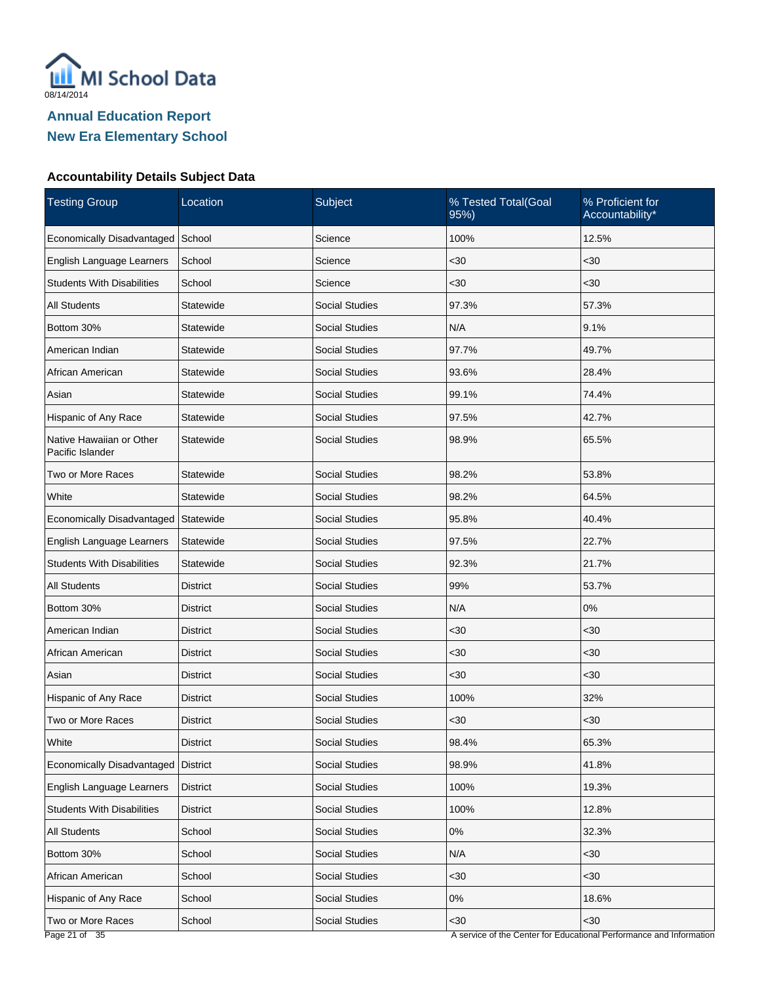

#### **Accountability Details Subject Data**

| <b>Testing Group</b>                         | Location        | Subject               | % Tested Total(Goal<br>95%) | % Proficient for<br>Accountability*                                 |
|----------------------------------------------|-----------------|-----------------------|-----------------------------|---------------------------------------------------------------------|
| Economically Disadvantaged                   | School          | Science               | 100%                        | 12.5%                                                               |
| English Language Learners                    | School          | Science               | $30$                        | <30                                                                 |
| <b>Students With Disabilities</b>            | School          | Science               | $30$                        | <30                                                                 |
| All Students                                 | Statewide       | <b>Social Studies</b> | 97.3%                       | 57.3%                                                               |
| Bottom 30%                                   | Statewide       | Social Studies        | N/A                         | 9.1%                                                                |
| American Indian                              | Statewide       | <b>Social Studies</b> | 97.7%                       | 49.7%                                                               |
| African American                             | Statewide       | <b>Social Studies</b> | 93.6%                       | 28.4%                                                               |
| Asian                                        | Statewide       | <b>Social Studies</b> | 99.1%                       | 74.4%                                                               |
| Hispanic of Any Race                         | Statewide       | <b>Social Studies</b> | 97.5%                       | 42.7%                                                               |
| Native Hawaiian or Other<br>Pacific Islander | Statewide       | <b>Social Studies</b> | 98.9%                       | 65.5%                                                               |
| Two or More Races                            | Statewide       | <b>Social Studies</b> | 98.2%                       | 53.8%                                                               |
| White                                        | Statewide       | <b>Social Studies</b> | 98.2%                       | 64.5%                                                               |
| Economically Disadvantaged                   | Statewide       | <b>Social Studies</b> | 95.8%                       | 40.4%                                                               |
| English Language Learners                    | Statewide       | <b>Social Studies</b> | 97.5%                       | 22.7%                                                               |
| <b>Students With Disabilities</b>            | Statewide       | <b>Social Studies</b> | 92.3%                       | 21.7%                                                               |
| All Students                                 | District        | <b>Social Studies</b> | 99%                         | 53.7%                                                               |
| Bottom 30%                                   | <b>District</b> | <b>Social Studies</b> | N/A                         | 0%                                                                  |
| American Indian                              | District        | <b>Social Studies</b> | $30$                        | <30                                                                 |
| African American                             | <b>District</b> | <b>Social Studies</b> | <30                         | $30$                                                                |
| Asian                                        | <b>District</b> | <b>Social Studies</b> | $30$                        | <30                                                                 |
| Hispanic of Any Race                         | <b>District</b> | <b>Social Studies</b> | 100%                        | 32%                                                                 |
| Two or More Races                            | District        | <b>Social Studies</b> | $30$                        | <30                                                                 |
| White                                        | <b>District</b> | <b>Social Studies</b> | 98.4%                       | 65.3%                                                               |
| Economically Disadvantaged                   | District        | Social Studies        | 98.9%                       | 41.8%                                                               |
| English Language Learners                    | <b>District</b> | <b>Social Studies</b> | 100%                        | 19.3%                                                               |
| <b>Students With Disabilities</b>            | <b>District</b> | Social Studies        | 100%                        | 12.8%                                                               |
| <b>All Students</b>                          | School          | <b>Social Studies</b> | 0%                          | 32.3%                                                               |
| Bottom 30%                                   | School          | Social Studies        | N/A                         | $30$                                                                |
| African American                             | School          | <b>Social Studies</b> | $30$                        | $30$                                                                |
| Hispanic of Any Race                         | School          | Social Studies        | $0\%$                       | 18.6%                                                               |
| Two or More Races                            | School          | Social Studies        | $30$                        | $30$                                                                |
| Page 21 of 35                                |                 |                       |                             | A service of the Center for Educational Performance and Information |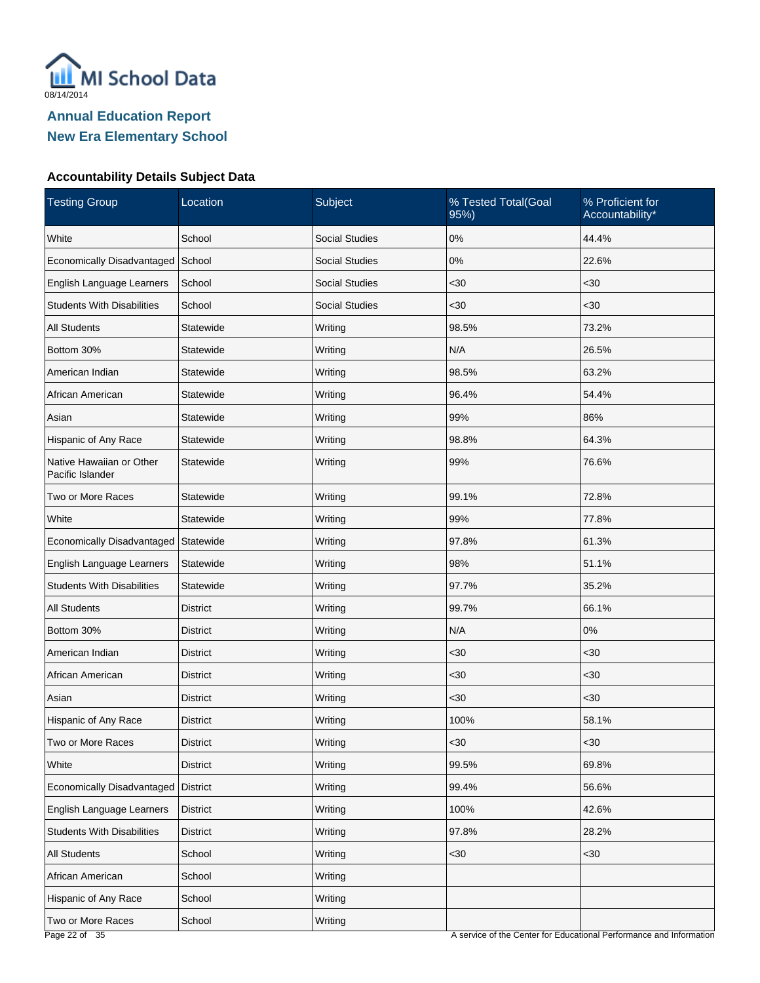

#### **Accountability Details Subject Data**

| <b>Testing Group</b>                         | Location        | Subject               | % Tested Total(Goal<br>95%)                    | % Proficient for<br>Accountability* |
|----------------------------------------------|-----------------|-----------------------|------------------------------------------------|-------------------------------------|
| White                                        | School          | <b>Social Studies</b> | $0\%$                                          | 44.4%                               |
| Economically Disadvantaged                   | School          | <b>Social Studies</b> | 0%                                             | 22.6%                               |
| English Language Learners                    | School          | <b>Social Studies</b> | $30$                                           | $30$                                |
| <b>Students With Disabilities</b>            | School          | <b>Social Studies</b> | $30$                                           | $30$                                |
| <b>All Students</b>                          | Statewide       | Writing               | 98.5%                                          | 73.2%                               |
| Bottom 30%                                   | Statewide       | Writing               | N/A                                            | 26.5%                               |
| American Indian                              | Statewide       | Writing               | 98.5%                                          | 63.2%                               |
| African American                             | Statewide       | Writing               | 96.4%                                          | 54.4%                               |
| Asian                                        | Statewide       | Writing               | 99%                                            | 86%                                 |
| Hispanic of Any Race                         | Statewide       | Writing               | 98.8%                                          | 64.3%                               |
| Native Hawaiian or Other<br>Pacific Islander | Statewide       | Writing               | 99%                                            | 76.6%                               |
| Two or More Races                            | Statewide       | Writing               | 99.1%                                          | 72.8%                               |
| White                                        | Statewide       | Writing               | 99%                                            | 77.8%                               |
| Economically Disadvantaged                   | Statewide       | Writing               | 97.8%                                          | 61.3%                               |
| English Language Learners                    | Statewide       | Writing               | 98%                                            | 51.1%                               |
| <b>Students With Disabilities</b>            | Statewide       | Writing               | 97.7%                                          | 35.2%                               |
| <b>All Students</b>                          | <b>District</b> | Writing               | 99.7%                                          | 66.1%                               |
| Bottom 30%                                   | <b>District</b> | Writing               | N/A                                            | 0%                                  |
| American Indian                              | <b>District</b> | Writing               | $30$                                           | $30$                                |
| African American                             | <b>District</b> | Writing               | <30                                            | <30                                 |
| Asian                                        | <b>District</b> | Writing               | $30$                                           | $30$                                |
| Hispanic of Any Race                         | <b>District</b> | Writing               | 100%                                           | 58.1%                               |
| Two or More Races                            | <b>District</b> | Writing               | <30                                            | $30$                                |
| White                                        | <b>District</b> | Writing               | 99.5%                                          | 69.8%                               |
| Economically Disadvantaged District          |                 | Writing               | 99.4%                                          | 56.6%                               |
| English Language Learners                    | <b>District</b> | Writing               | 100%                                           | 42.6%                               |
| <b>Students With Disabilities</b>            | <b>District</b> | Writing               | 97.8%                                          | 28.2%                               |
| All Students                                 | School          | Writing               | $30$                                           | $30$                                |
| African American                             | School          | Writing               |                                                |                                     |
| Hispanic of Any Race                         | School          | Writing               |                                                |                                     |
| Two or More Races<br>$D_{0}$ $(22.01)$       | School          | Writing               | consider of the Conter for Educational Derform | ongo and Information                |

A service of the Center for Educational Performance and Information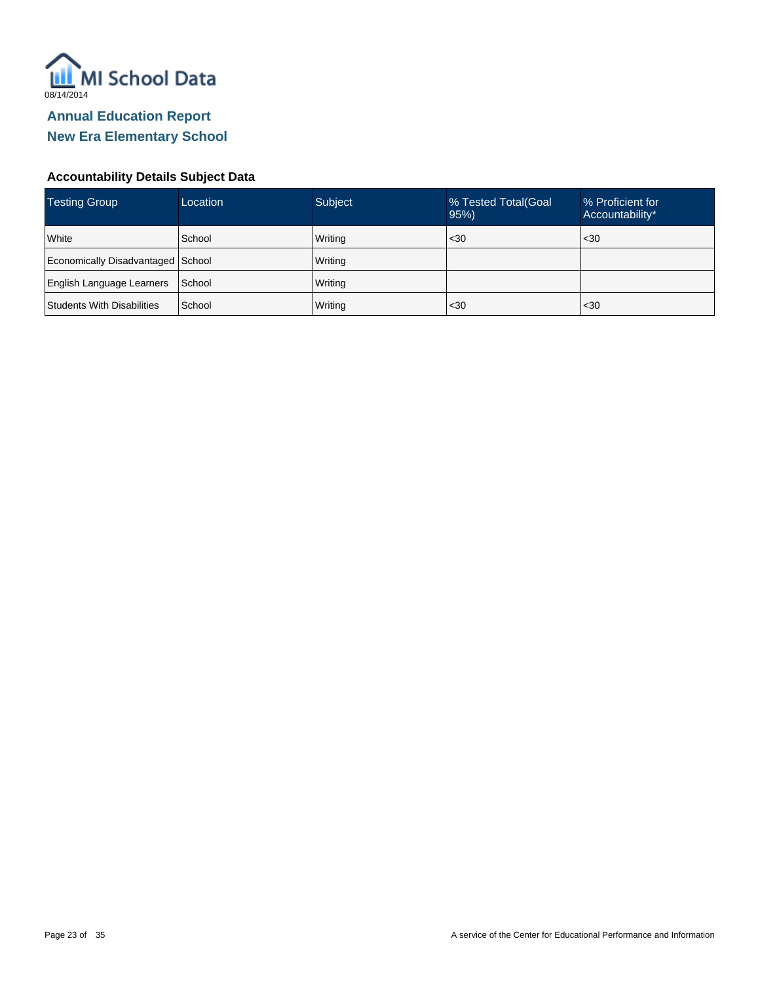

#### **Accountability Details Subject Data**

| <b>Testing Group</b>              | Location | <b>Subject</b> | % Tested Total (Goal<br>95% | % Proficient for<br>Accountability* |
|-----------------------------------|----------|----------------|-----------------------------|-------------------------------------|
| White                             | School   | Writing        | $30$                        | $30$                                |
| Economically Disadvantaged School |          | Writing        |                             |                                     |
| <b>English Language Learners</b>  | School   | Writing        |                             |                                     |
| Students With Disabilities        | School   | Writing        | $30$                        | $30$                                |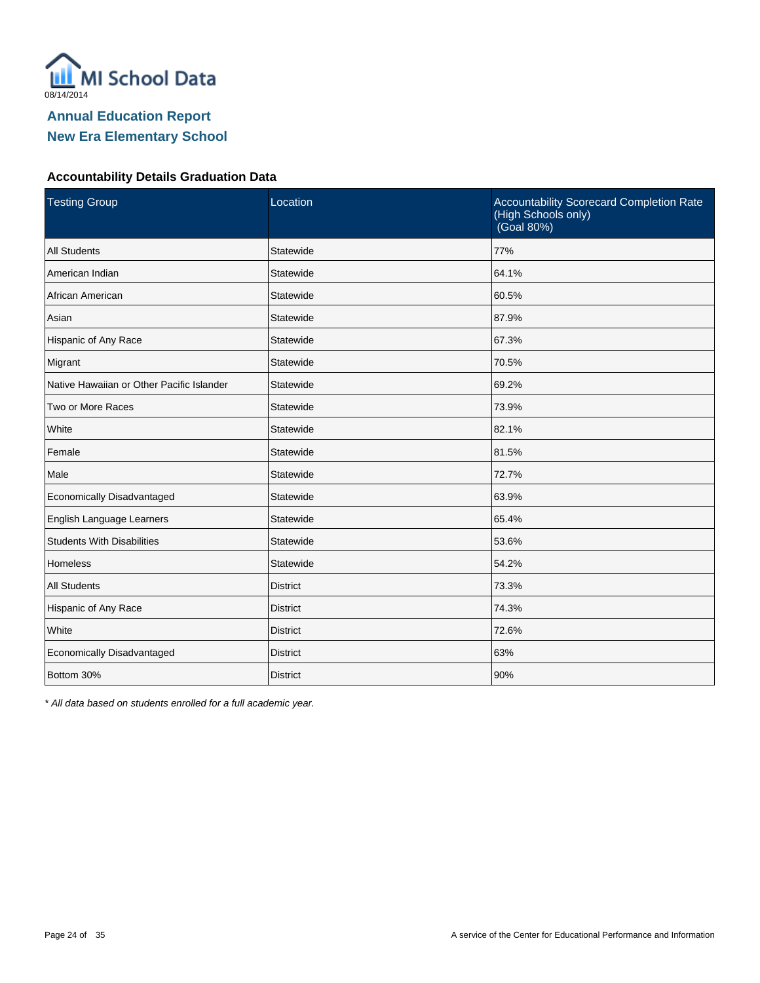

#### **Accountability Details Graduation Data**

| <b>Testing Group</b>                      | Location        | Accountability Scorecard Completion Rate<br>(High Schools only)<br>(Goal 80%) |
|-------------------------------------------|-----------------|-------------------------------------------------------------------------------|
| <b>All Students</b>                       | Statewide       | 77%                                                                           |
| American Indian                           | Statewide       | 64.1%                                                                         |
| African American                          | Statewide       | 60.5%                                                                         |
| Asian                                     | Statewide       | 87.9%                                                                         |
| Hispanic of Any Race                      | Statewide       | 67.3%                                                                         |
| Migrant                                   | Statewide       | 70.5%                                                                         |
| Native Hawaiian or Other Pacific Islander | Statewide       | 69.2%                                                                         |
| Two or More Races                         | Statewide       | 73.9%                                                                         |
| White                                     | Statewide       | 82.1%                                                                         |
| Female                                    | Statewide       | 81.5%                                                                         |
| Male                                      | Statewide       | 72.7%                                                                         |
| Economically Disadvantaged                | Statewide       | 63.9%                                                                         |
| English Language Learners                 | Statewide       | 65.4%                                                                         |
| <b>Students With Disabilities</b>         | Statewide       | 53.6%                                                                         |
| <b>Homeless</b>                           | Statewide       | 54.2%                                                                         |
| <b>All Students</b>                       | <b>District</b> | 73.3%                                                                         |
| Hispanic of Any Race                      | <b>District</b> | 74.3%                                                                         |
| White                                     | <b>District</b> | 72.6%                                                                         |
| Economically Disadvantaged                | <b>District</b> | 63%                                                                           |
| Bottom 30%                                | <b>District</b> | 90%                                                                           |

\* All data based on students enrolled for a full academic year.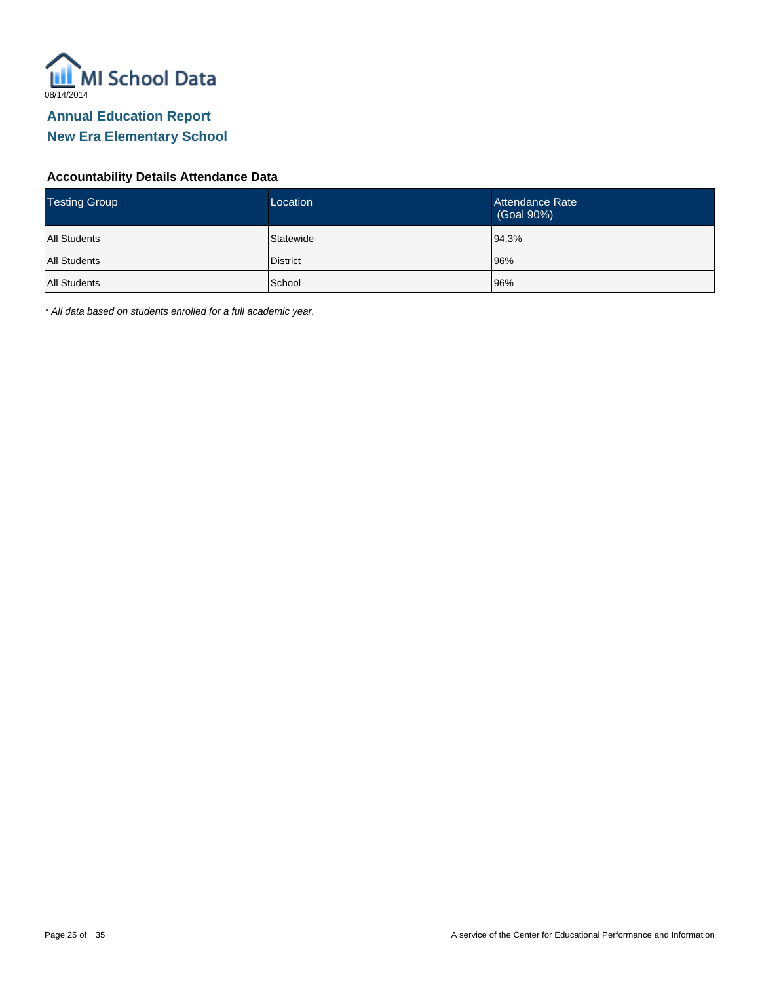

#### **Accountability Details Attendance Data**

| <b>Testing Group</b> | Location        | Attendance Rate<br>(Goal 90%) |
|----------------------|-----------------|-------------------------------|
| <b>All Students</b>  | Statewide       | 94.3%                         |
| <b>All Students</b>  | <b>District</b> | 96%                           |
| <b>All Students</b>  | School          | 96%                           |

\* All data based on students enrolled for a full academic year.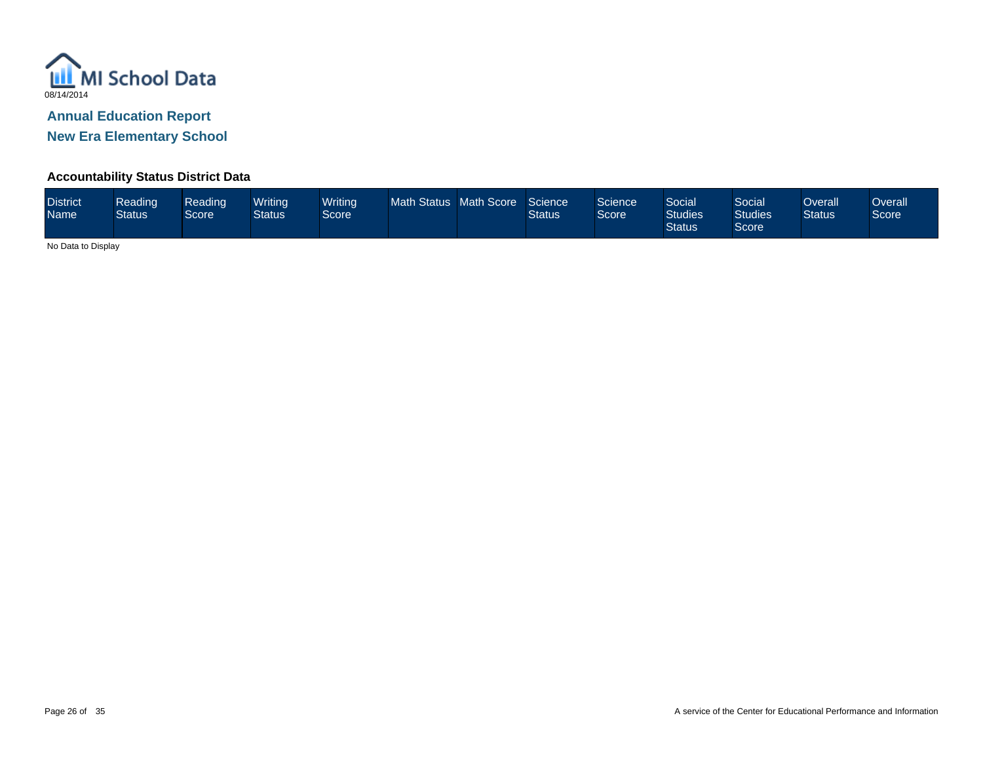

**New Era Elementary School**

#### **Accountability Status District Data**

| <b>District</b><br><b>Name</b> | Reading<br><b>Status</b> | Reading<br>Score | Writinal<br><b>Status</b> | <b>Writing</b><br>Score <sup>'</sup> | Math Status Math Score |  | Science<br><b>Status</b> | Science<br>Score | Social<br><b>Studies</b><br><b>Status</b> | Social<br><b>Studies</b><br>Score | Overall<br><b>Status</b> | Overall<br>Score |
|--------------------------------|--------------------------|------------------|---------------------------|--------------------------------------|------------------------|--|--------------------------|------------------|-------------------------------------------|-----------------------------------|--------------------------|------------------|
|--------------------------------|--------------------------|------------------|---------------------------|--------------------------------------|------------------------|--|--------------------------|------------------|-------------------------------------------|-----------------------------------|--------------------------|------------------|

No Data to Display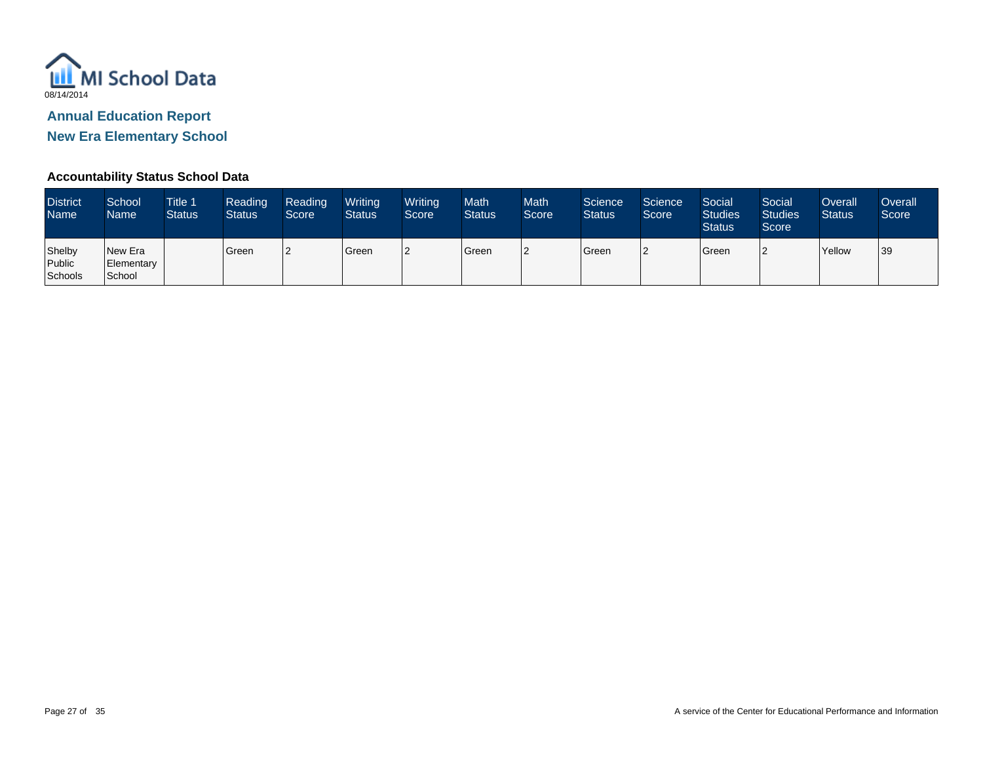

**New Era Elementary School**

#### **Accountability Status School Data**

| <b>District</b><br><b>Name</b> | School<br>Name                  | <b>Title 1</b><br><b>Status</b> | Reading<br><b>Status</b> | Reading<br>Score | Writing<br><b>Status</b> | Writing<br>Score | <b>Math</b><br><b>Status</b> | <b>Math</b><br>Score | Science<br><b>Status</b> | Science<br>Score | Social<br><b>Studies</b><br><b>Status</b> | Social<br><b>Studies</b><br>Score <sup>1</sup> | Overall<br><b>Status</b> | Overall<br>Score |
|--------------------------------|---------------------------------|---------------------------------|--------------------------|------------------|--------------------------|------------------|------------------------------|----------------------|--------------------------|------------------|-------------------------------------------|------------------------------------------------|--------------------------|------------------|
| Shelby<br>Public<br>Schools    | New Era<br>Elementary<br>School |                                 | Green                    |                  | Green                    |                  | Green                        |                      | Green                    |                  | Green                                     |                                                | Yellow                   | 39               |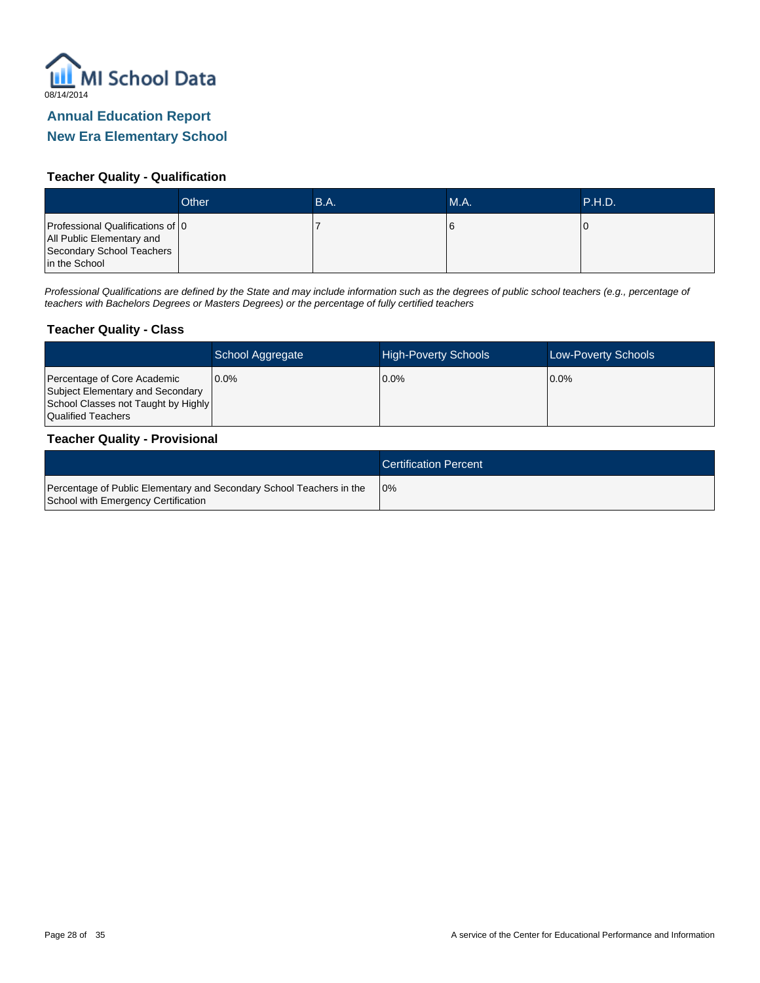

#### **Teacher Quality - Qualification**

|                                                                                                             | Other | B.A. | <b>M.A.</b> | .P.H.D. |
|-------------------------------------------------------------------------------------------------------------|-------|------|-------------|---------|
| Professional Qualifications of 0<br>All Public Elementary and<br>Secondary School Teachers<br>in the School |       |      |             |         |

Professional Qualifications are defined by the State and may include information such as the degrees of public school teachers (e.g., percentage of teachers with Bachelors Degrees or Masters Degrees) or the percentage of fully certified teachers

#### **Teacher Quality - Class**

|                                                                                                                              | School Aggregate | <b>High-Poverty Schools</b> | <b>Low-Poverty Schools</b> |
|------------------------------------------------------------------------------------------------------------------------------|------------------|-----------------------------|----------------------------|
| Percentage of Core Academic<br>Subject Elementary and Secondary<br>School Classes not Taught by Highly<br>Qualified Teachers | $0.0\%$          | $0.0\%$                     | $10.0\%$                   |

#### **Teacher Quality - Provisional**

|                                                                                                             | <b>Certification Percent</b> |
|-------------------------------------------------------------------------------------------------------------|------------------------------|
| Percentage of Public Elementary and Secondary School Teachers in the<br>School with Emergency Certification | 10%                          |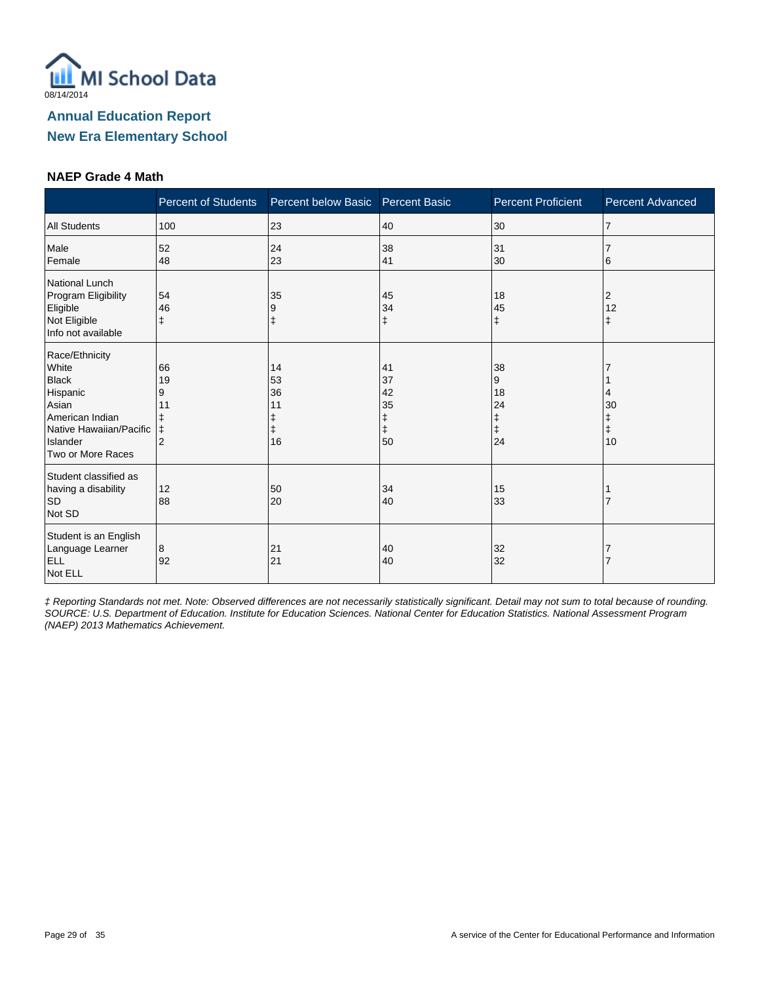

#### **NAEP Grade 4 Math**

|                                                                                                                                             | <b>Percent of Students</b>                 | Percent below Basic Percent Basic |                            | <b>Percent Proficient</b>           | <b>Percent Advanced</b>   |
|---------------------------------------------------------------------------------------------------------------------------------------------|--------------------------------------------|-----------------------------------|----------------------------|-------------------------------------|---------------------------|
| <b>All Students</b>                                                                                                                         | 100                                        | 23                                | 40                         | 30                                  | 17                        |
| Male<br>Female                                                                                                                              | 52<br>48                                   | 24<br>23                          | 38<br>41                   | 31<br>30                            | 6                         |
| National Lunch<br>Program Eligibility<br>Eligible<br>Not Eligible<br>Info not available                                                     | 54<br>46<br>$\ddagger$                     | 35<br>9                           | 45<br>34<br>$\ddagger$     | 18<br>45<br>ŧ                       | $\overline{2}$<br>12<br>ŧ |
| Race/Ethnicity<br>White<br><b>Black</b><br>Hispanic<br>Asian<br>American Indian<br>Native Hawaiian/Pacific<br>Islander<br>Two or More Races | 66<br>19<br>9<br>11<br>ŧ<br>$\overline{2}$ | 14<br>53<br>36<br>11<br>16        | 41<br>37<br>42<br>35<br>50 | 38<br>9<br>18<br>24<br>ŧ<br>ŧ<br>24 | 4<br>30<br>ŧ<br>10        |
| Student classified as<br>having a disability<br><b>SD</b><br>Not SD                                                                         | 12<br>88                                   | 50<br>20                          | 34<br>40                   | 15<br>33                            |                           |
| Student is an English<br>Language Learner<br>ELL<br>Not ELL                                                                                 | 8<br>92                                    | 21<br>21                          | 40<br>40                   | 32<br>32                            |                           |

‡ Reporting Standards not met. Note: Observed differences are not necessarily statistically significant. Detail may not sum to total because of rounding. SOURCE: U.S. Department of Education. Institute for Education Sciences. National Center for Education Statistics. National Assessment Program (NAEP) 2013 Mathematics Achievement.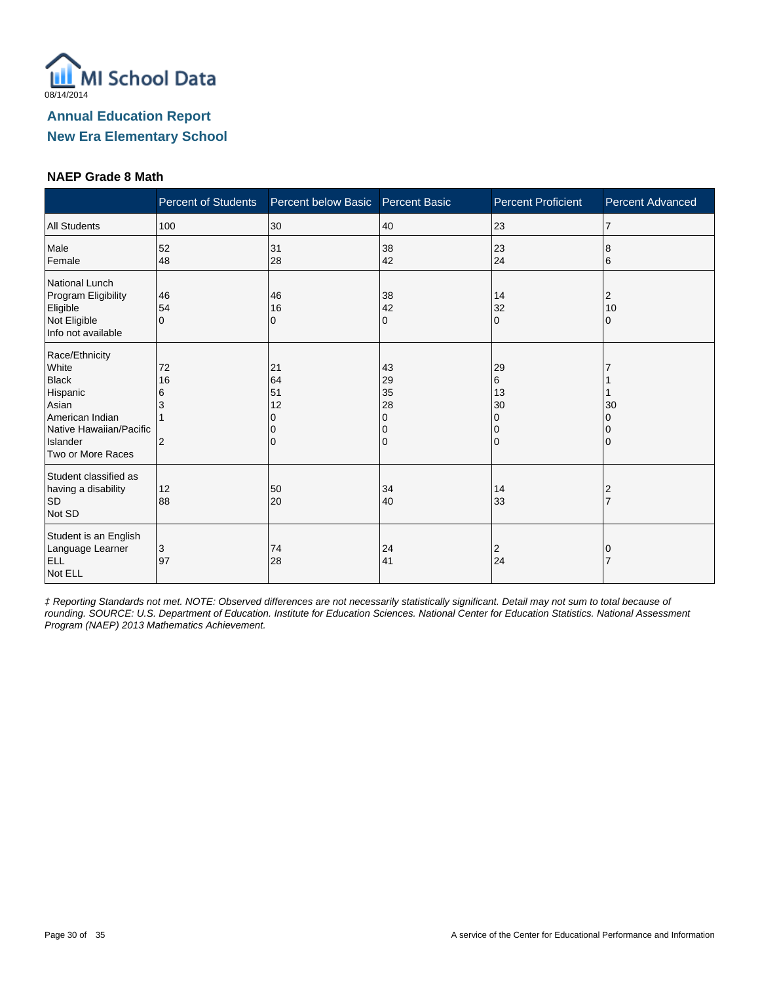

#### **NAEP Grade 8 Math**

|                                                                                                                                             | <b>Percent of Students</b>           | Percent below Basic       | <b>Percent Basic</b>                | <b>Percent Proficient</b>                           | <b>Percent Advanced</b> |
|---------------------------------------------------------------------------------------------------------------------------------------------|--------------------------------------|---------------------------|-------------------------------------|-----------------------------------------------------|-------------------------|
| <b>All Students</b>                                                                                                                         | 100                                  | 30                        | 40                                  | 23                                                  | $\overline{7}$          |
| Male<br>Female                                                                                                                              | 52<br>48                             | 31<br>28                  | 38<br>42                            | 23<br>24                                            | 8<br>6                  |
| National Lunch<br>Program Eligibility<br>Eligible<br>Not Eligible<br>Info not available                                                     | 46<br>54<br>$\Omega$                 | 46<br>16<br>0             | 38<br>42<br>0                       | 14<br>32<br>$\Omega$                                | 2<br>10<br>0            |
| Race/Ethnicity<br>White<br><b>Black</b><br>Hispanic<br>Asian<br>American Indian<br>Native Hawaiian/Pacific<br>Islander<br>Two or More Races | 72<br>16<br>6<br>3<br>$\overline{2}$ | 21<br>64<br>51<br>12<br>0 | 43<br>29<br>35<br>28<br>0<br>0<br>0 | 29<br>6<br>13<br>30<br>$\Omega$<br>0<br>$\mathbf 0$ | 30                      |
| Student classified as<br>having a disability<br><b>SD</b><br>Not SD                                                                         | 12<br>88                             | 50<br>20                  | 34<br>40                            | 14<br>33                                            | 2                       |
| Student is an English<br>Language Learner<br><b>ELL</b><br>Not ELL                                                                          | 3<br>97                              | 74<br>28                  | 24<br>41                            | 2<br>24                                             |                         |

‡ Reporting Standards not met. NOTE: Observed differences are not necessarily statistically significant. Detail may not sum to total because of rounding. SOURCE: U.S. Department of Education. Institute for Education Sciences. National Center for Education Statistics. National Assessment Program (NAEP) 2013 Mathematics Achievement.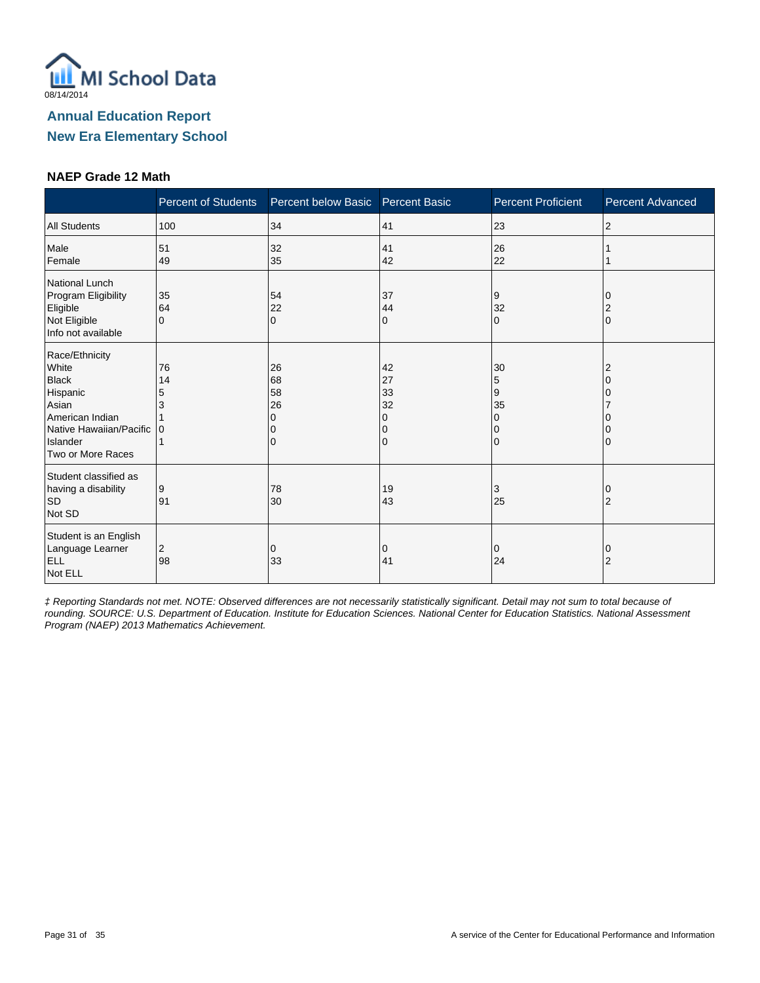

#### **NAEP Grade 12 Math**

|                                                                                                                                             | <b>Percent of Students</b> | Percent below Basic            | <b>Percent Basic</b>                | <b>Percent Proficient</b>                          | <b>Percent Advanced</b> |
|---------------------------------------------------------------------------------------------------------------------------------------------|----------------------------|--------------------------------|-------------------------------------|----------------------------------------------------|-------------------------|
| <b>All Students</b>                                                                                                                         | 100                        | 34                             | 41                                  | 23                                                 | 2                       |
| Male<br>Female                                                                                                                              | 51<br>49                   | 32<br>35                       | 41<br>42                            | 26<br>22                                           |                         |
| <b>National Lunch</b><br>Program Eligibility<br>Eligible<br>Not Eligible<br>Info not available                                              | 35<br>64<br>$\Omega$       | 54<br>22<br>$\mathbf 0$        | 37<br>44<br>0                       | 9<br>32<br>$\mathbf{0}$                            | 2<br>$\Omega$           |
| Race/Ethnicity<br>White<br><b>Black</b><br>Hispanic<br>Asian<br>American Indian<br>Native Hawaiian/Pacific<br>Islander<br>Two or More Races | 76<br>14<br>5<br>١n        | 26<br>68<br>58<br>26<br>O<br>0 | 42<br>27<br>33<br>32<br>0<br>0<br>0 | 30<br>5<br>9<br>35<br>$\Omega$<br>0<br>$\mathbf 0$ | ∩                       |
| Student classified as<br>having a disability<br><b>SD</b><br>Not SD                                                                         | 9<br>91                    | 78<br>30                       | 19<br>43                            | 3<br>25                                            | $\overline{2}$          |
| Student is an English<br>Language Learner<br><b>ELL</b><br>Not ELL                                                                          | 2<br>98                    | 0<br>33                        | 0<br>41                             | $\mathbf 0$<br>24                                  | 0<br>$\overline{2}$     |

‡ Reporting Standards not met. NOTE: Observed differences are not necessarily statistically significant. Detail may not sum to total because of rounding. SOURCE: U.S. Department of Education. Institute for Education Sciences. National Center for Education Statistics. National Assessment Program (NAEP) 2013 Mathematics Achievement.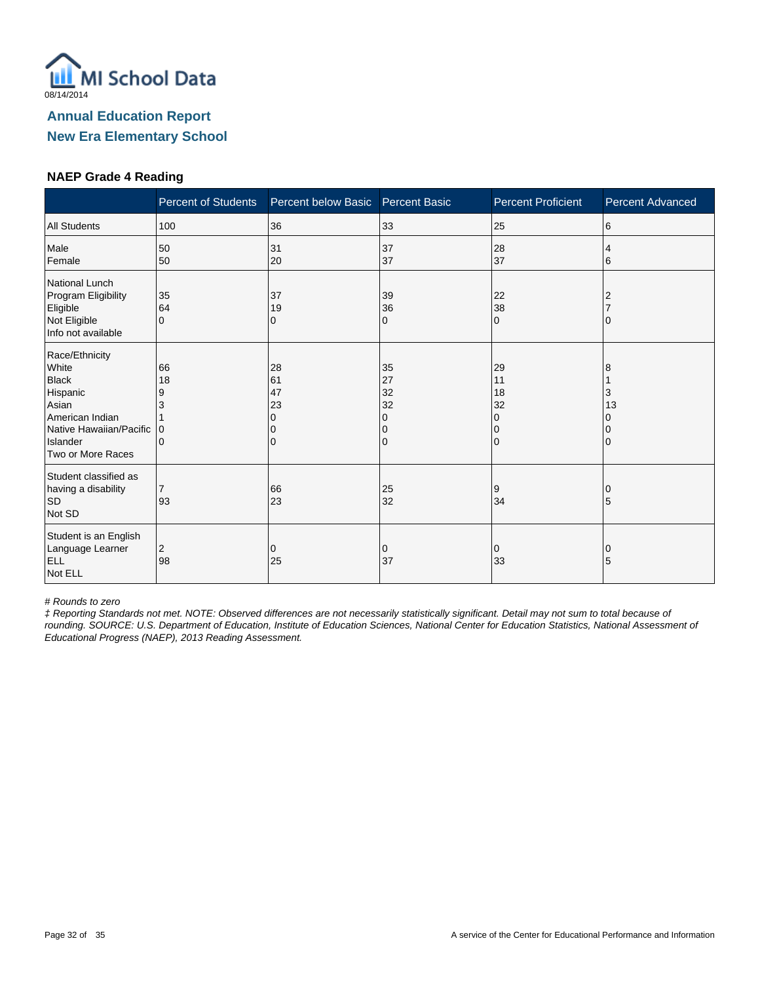

#### **NAEP Grade 4 Reading**

|                                                                                                                                             | <b>Percent of Students</b>          | Percent below Basic            | <b>Percent Basic</b>                | <b>Percent Proficient</b>                                   | <b>Percent Advanced</b> |
|---------------------------------------------------------------------------------------------------------------------------------------------|-------------------------------------|--------------------------------|-------------------------------------|-------------------------------------------------------------|-------------------------|
| <b>All Students</b>                                                                                                                         | 100                                 | 36                             | 33                                  | 25                                                          | 6                       |
| Male<br>Female                                                                                                                              | 50<br>50                            | 31<br>20                       | 37<br>37                            | 28<br>37                                                    | 4<br>6                  |
| National Lunch<br>Program Eligibility<br>Eligible<br>Not Eligible<br>Info not available                                                     | 35<br>64<br>$\Omega$                | 37<br>19<br>0                  | 39<br>36<br>0                       | 22<br>38<br>$\mathbf 0$                                     |                         |
| Race/Ethnicity<br>White<br><b>Black</b><br>Hispanic<br>Asian<br>American Indian<br>Native Hawaiian/Pacific<br>Islander<br>Two or More Races | 66<br>18<br>9<br>3<br>$\Omega$<br>0 | 28<br>61<br>47<br>23<br>O<br>0 | 35<br>27<br>32<br>32<br>0<br>0<br>0 | 29<br>11<br>18<br>32<br>$\Omega$<br>$\Omega$<br>$\mathbf 0$ | 8<br>3<br>13            |
| Student classified as<br>having a disability<br><b>SD</b><br>Not SD                                                                         | $\overline{7}$<br>93                | 66<br>23                       | 25<br>32                            | 9<br>34                                                     | O<br>5                  |
| Student is an English<br>Language Learner<br><b>ELL</b><br>Not ELL                                                                          | 2<br>98                             | 0<br>25                        | 0<br>37                             | 0<br>33                                                     | 0<br>5                  |

# Rounds to zero

‡ Reporting Standards not met. NOTE: Observed differences are not necessarily statistically significant. Detail may not sum to total because of rounding. SOURCE: U.S. Department of Education, Institute of Education Sciences, National Center for Education Statistics, National Assessment of Educational Progress (NAEP), 2013 Reading Assessment.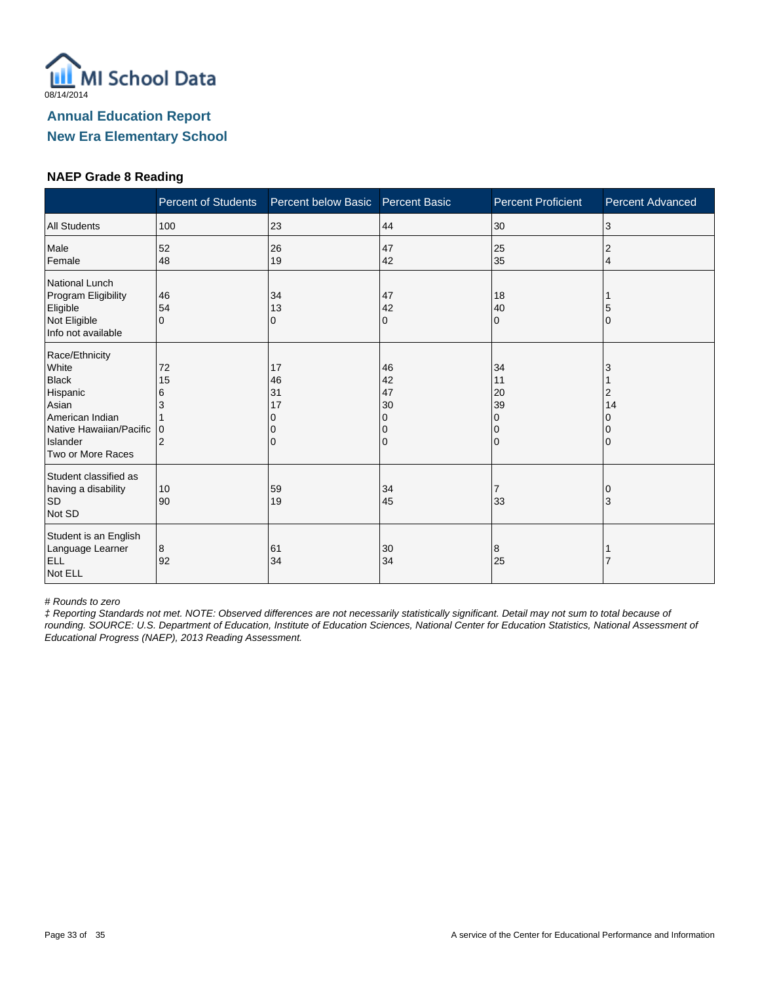

#### **NAEP Grade 8 Reading**

|                                                                                                                                             | <b>Percent of Students</b>          | Percent below Basic            | <b>Percent Basic</b>                | <b>Percent Proficient</b>                     | <b>Percent Advanced</b> |
|---------------------------------------------------------------------------------------------------------------------------------------------|-------------------------------------|--------------------------------|-------------------------------------|-----------------------------------------------|-------------------------|
| <b>All Students</b>                                                                                                                         | 100                                 | 23                             | 44                                  | 30                                            | 3                       |
| Male<br>Female                                                                                                                              | 52<br>48                            | 26<br>19                       | 47<br>42                            | 25<br>35                                      | 2<br>4                  |
| National Lunch<br>Program Eligibility<br>Eligible<br>Not Eligible<br>Info not available                                                     | 46<br>54<br>$\Omega$                | 34<br>13<br>0                  | 47<br>42<br>0                       | 18<br>40<br>$\Omega$                          | O                       |
| Race/Ethnicity<br>White<br><b>Black</b><br>Hispanic<br>Asian<br>American Indian<br>Native Hawaiian/Pacific<br>Islander<br>Two or More Races | 72<br>15<br>6<br>3<br>$\Omega$<br>2 | 17<br>46<br>31<br>17<br>O<br>0 | 46<br>42<br>47<br>30<br>0<br>0<br>0 | 34<br>11<br>20<br>39<br>0<br>0<br>$\mathbf 0$ | 3<br>2<br>14            |
| Student classified as<br>having a disability<br><b>SD</b><br>Not SD                                                                         | 10<br>90                            | 59<br>19                       | 34<br>45                            | $\overline{7}$<br>33                          | 3                       |
| Student is an English<br>Language Learner<br><b>ELL</b><br>Not ELL                                                                          | 8<br>92                             | 61<br>34                       | 30<br>34                            | 8<br>25                                       |                         |

# Rounds to zero

‡ Reporting Standards not met. NOTE: Observed differences are not necessarily statistically significant. Detail may not sum to total because of rounding. SOURCE: U.S. Department of Education, Institute of Education Sciences, National Center for Education Statistics, National Assessment of Educational Progress (NAEP), 2013 Reading Assessment.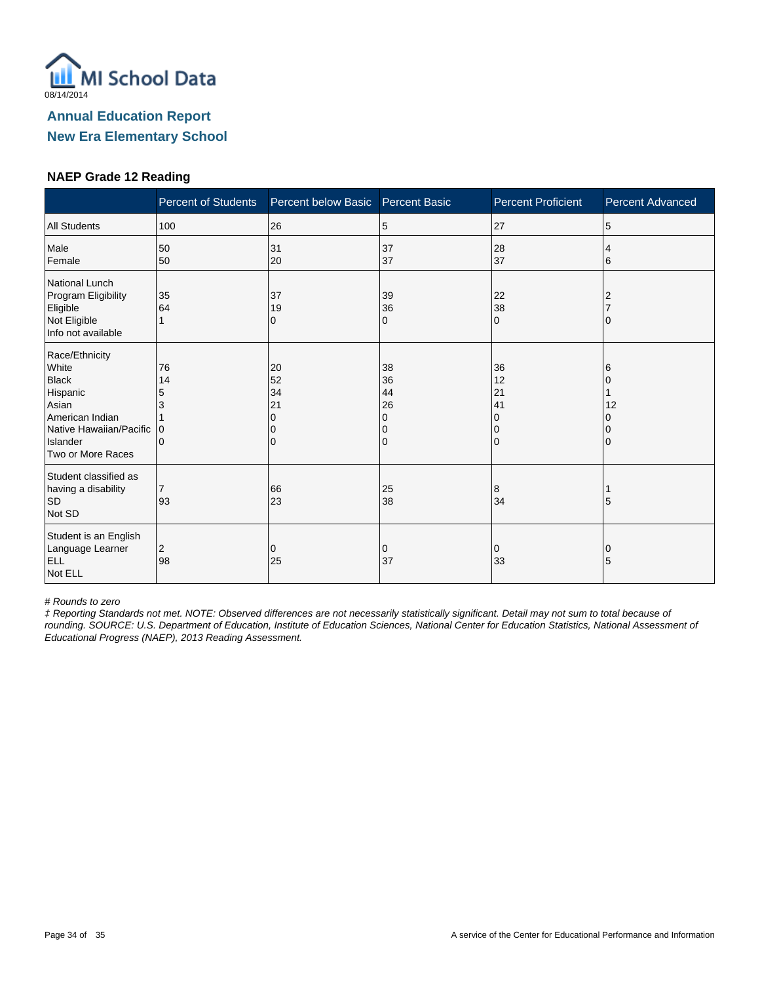

#### **NAEP Grade 12 Reading**

|                                                                                                                                             | <b>Percent of Students</b>          | Percent below Basic            | <b>Percent Basic</b>                | <b>Percent Proficient</b>                         | <b>Percent Advanced</b> |
|---------------------------------------------------------------------------------------------------------------------------------------------|-------------------------------------|--------------------------------|-------------------------------------|---------------------------------------------------|-------------------------|
| <b>All Students</b>                                                                                                                         | 100                                 | 26                             | 5                                   | 27                                                | 5                       |
| Male<br>Female                                                                                                                              | 50<br>50                            | 31<br>20                       | 37<br>37                            | 28<br>37                                          | 4<br>6                  |
| National Lunch<br>Program Eligibility<br>Eligible<br>Not Eligible<br>Info not available                                                     | 35<br>64                            | 37<br>19<br>0                  | 39<br>36<br>0                       | 22<br>38<br>$\mathbf 0$                           |                         |
| Race/Ethnicity<br>White<br><b>Black</b><br>Hispanic<br>Asian<br>American Indian<br>Native Hawaiian/Pacific<br>Islander<br>Two or More Races | 76<br>14<br>5<br>3<br>0<br>$\Omega$ | 20<br>52<br>34<br>21<br>0<br>0 | 38<br>36<br>44<br>26<br>0<br>0<br>0 | 36<br>12<br>21<br>41<br>$\Omega$<br>0<br>$\Omega$ | 6<br>12                 |
| Student classified as<br>having a disability<br><b>SD</b><br>Not SD                                                                         | 7<br>93                             | 66<br>23                       | 25<br>38                            | 8<br>34                                           | 5                       |
| Student is an English<br>Language Learner<br><b>ELL</b><br>Not ELL                                                                          | $\overline{c}$<br>98                | 0<br>25                        | 0<br>37                             | 0<br>33                                           | 5                       |

# Rounds to zero

‡ Reporting Standards not met. NOTE: Observed differences are not necessarily statistically significant. Detail may not sum to total because of rounding. SOURCE: U.S. Department of Education, Institute of Education Sciences, National Center for Education Statistics, National Assessment of Educational Progress (NAEP), 2013 Reading Assessment.